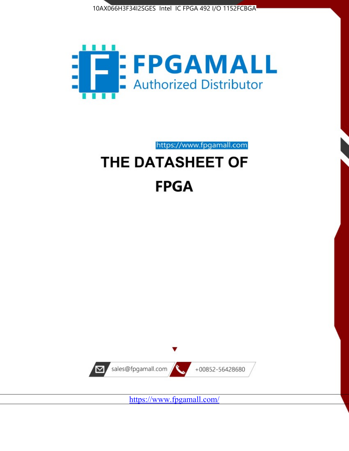



https://www.fpgamall.com

# THE DATASHEET OF **FPGA**



<https://www.fpgamall.com/>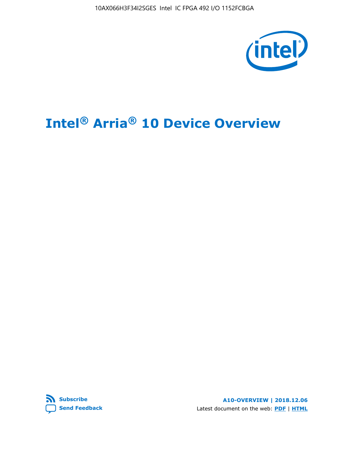10AX066H3F34I2SGES Intel IC FPGA 492 I/O 1152FCBGA



# **Intel® Arria® 10 Device Overview**



**A10-OVERVIEW | 2018.12.06** Latest document on the web: **[PDF](https://www.intel.com/content/dam/www/programmable/us/en/pdfs/literature/hb/arria-10/a10_overview.pdf)** | **[HTML](https://www.intel.com/content/www/us/en/programmable/documentation/sam1403480274650.html)**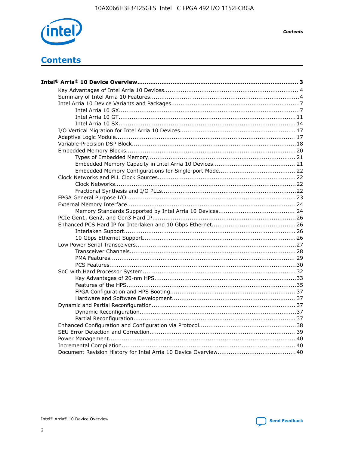

**Contents** 

# **Contents**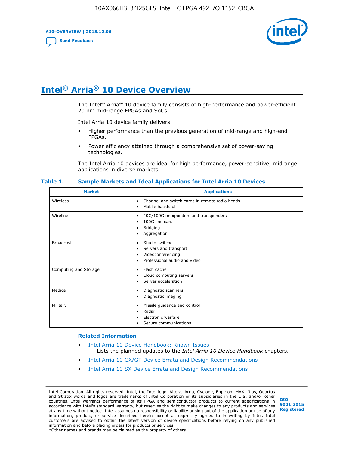**A10-OVERVIEW | 2018.12.06**

**[Send Feedback](mailto:FPGAtechdocfeedback@intel.com?subject=Feedback%20on%20Intel%20Arria%2010%20Device%20Overview%20(A10-OVERVIEW%202018.12.06)&body=We%20appreciate%20your%20feedback.%20In%20your%20comments,%20also%20specify%20the%20page%20number%20or%20paragraph.%20Thank%20you.)**



# **Intel® Arria® 10 Device Overview**

The Intel<sup>®</sup> Arria<sup>®</sup> 10 device family consists of high-performance and power-efficient 20 nm mid-range FPGAs and SoCs.

Intel Arria 10 device family delivers:

- Higher performance than the previous generation of mid-range and high-end FPGAs.
- Power efficiency attained through a comprehensive set of power-saving technologies.

The Intel Arria 10 devices are ideal for high performance, power-sensitive, midrange applications in diverse markets.

| <b>Market</b>         | <b>Applications</b>                                                                                               |
|-----------------------|-------------------------------------------------------------------------------------------------------------------|
| Wireless              | Channel and switch cards in remote radio heads<br>٠<br>Mobile backhaul<br>٠                                       |
| Wireline              | 40G/100G muxponders and transponders<br>٠<br>100G line cards<br>٠<br><b>Bridging</b><br>٠<br>Aggregation<br>٠     |
| <b>Broadcast</b>      | Studio switches<br>٠<br>Servers and transport<br>٠<br>Videoconferencing<br>٠<br>Professional audio and video<br>٠ |
| Computing and Storage | Flash cache<br>٠<br>Cloud computing servers<br>٠<br>Server acceleration<br>٠                                      |
| Medical               | Diagnostic scanners<br>٠<br>Diagnostic imaging<br>٠                                                               |
| Military              | Missile guidance and control<br>٠<br>Radar<br>٠<br>Electronic warfare<br>٠<br>Secure communications<br>٠          |

#### **Table 1. Sample Markets and Ideal Applications for Intel Arria 10 Devices**

#### **Related Information**

- [Intel Arria 10 Device Handbook: Known Issues](http://www.altera.com/support/kdb/solutions/rd07302013_646.html) Lists the planned updates to the *Intel Arria 10 Device Handbook* chapters.
- [Intel Arria 10 GX/GT Device Errata and Design Recommendations](https://www.intel.com/content/www/us/en/programmable/documentation/agz1493851706374.html#yqz1494433888646)
- [Intel Arria 10 SX Device Errata and Design Recommendations](https://www.intel.com/content/www/us/en/programmable/documentation/cru1462832385668.html#cru1462832558642)

Intel Corporation. All rights reserved. Intel, the Intel logo, Altera, Arria, Cyclone, Enpirion, MAX, Nios, Quartus and Stratix words and logos are trademarks of Intel Corporation or its subsidiaries in the U.S. and/or other countries. Intel warrants performance of its FPGA and semiconductor products to current specifications in accordance with Intel's standard warranty, but reserves the right to make changes to any products and services at any time without notice. Intel assumes no responsibility or liability arising out of the application or use of any information, product, or service described herein except as expressly agreed to in writing by Intel. Intel customers are advised to obtain the latest version of device specifications before relying on any published information and before placing orders for products or services. \*Other names and brands may be claimed as the property of others.

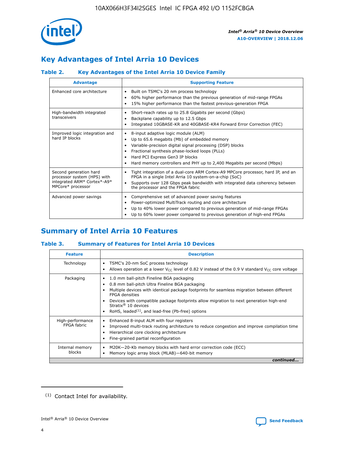

# **Key Advantages of Intel Arria 10 Devices**

## **Table 2. Key Advantages of the Intel Arria 10 Device Family**

| <b>Advantage</b>                                                                                          | <b>Supporting Feature</b>                                                                                                                                                                                                                                                                                                |
|-----------------------------------------------------------------------------------------------------------|--------------------------------------------------------------------------------------------------------------------------------------------------------------------------------------------------------------------------------------------------------------------------------------------------------------------------|
| Enhanced core architecture                                                                                | Built on TSMC's 20 nm process technology<br>٠<br>60% higher performance than the previous generation of mid-range FPGAs<br>٠<br>15% higher performance than the fastest previous-generation FPGA                                                                                                                         |
| High-bandwidth integrated<br>transceivers                                                                 | Short-reach rates up to 25.8 Gigabits per second (Gbps)<br>٠<br>Backplane capability up to 12.5 Gbps<br>٠<br>Integrated 10GBASE-KR and 40GBASE-KR4 Forward Error Correction (FEC)                                                                                                                                        |
| Improved logic integration and<br>hard IP blocks                                                          | 8-input adaptive logic module (ALM)<br>٠<br>Up to 65.6 megabits (Mb) of embedded memory<br>٠<br>Variable-precision digital signal processing (DSP) blocks<br>Fractional synthesis phase-locked loops (PLLs)<br>Hard PCI Express Gen3 IP blocks<br>Hard memory controllers and PHY up to 2,400 Megabits per second (Mbps) |
| Second generation hard<br>processor system (HPS) with<br>integrated ARM* Cortex*-A9*<br>MPCore* processor | Tight integration of a dual-core ARM Cortex-A9 MPCore processor, hard IP, and an<br>٠<br>FPGA in a single Intel Arria 10 system-on-a-chip (SoC)<br>Supports over 128 Gbps peak bandwidth with integrated data coherency between<br>the processor and the FPGA fabric                                                     |
| Advanced power savings                                                                                    | Comprehensive set of advanced power saving features<br>٠<br>Power-optimized MultiTrack routing and core architecture<br>٠<br>Up to 40% lower power compared to previous generation of mid-range FPGAs<br>Up to 60% lower power compared to previous generation of high-end FPGAs                                         |

# **Summary of Intel Arria 10 Features**

## **Table 3. Summary of Features for Intel Arria 10 Devices**

| <b>Feature</b>                  | <b>Description</b>                                                                                                                                                                                                                                                                                                                                                                                 |
|---------------------------------|----------------------------------------------------------------------------------------------------------------------------------------------------------------------------------------------------------------------------------------------------------------------------------------------------------------------------------------------------------------------------------------------------|
| Technology                      | TSMC's 20-nm SoC process technology<br>Allows operation at a lower $V_{\text{CC}}$ level of 0.82 V instead of the 0.9 V standard $V_{\text{CC}}$ core voltage                                                                                                                                                                                                                                      |
| Packaging                       | 1.0 mm ball-pitch Fineline BGA packaging<br>٠<br>0.8 mm ball-pitch Ultra Fineline BGA packaging<br>Multiple devices with identical package footprints for seamless migration between different<br><b>FPGA</b> densities<br>Devices with compatible package footprints allow migration to next generation high-end<br>Stratix $@10$ devices<br>RoHS, leaded $(1)$ , and lead-free (Pb-free) options |
| High-performance<br>FPGA fabric | Enhanced 8-input ALM with four registers<br>Improved multi-track routing architecture to reduce congestion and improve compilation time<br>Hierarchical core clocking architecture<br>Fine-grained partial reconfiguration                                                                                                                                                                         |
| Internal memory<br>blocks       | M20K-20-Kb memory blocks with hard error correction code (ECC)<br>Memory logic array block (MLAB)-640-bit memory                                                                                                                                                                                                                                                                                   |
|                                 | continued                                                                                                                                                                                                                                                                                                                                                                                          |



<sup>(1)</sup> Contact Intel for availability.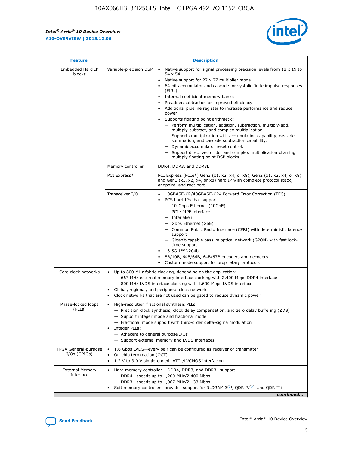r



| <b>Feature</b>                         | <b>Description</b>                                                                                             |                                                                                                                                                                                                                                                                                                                                                                                                                                                                                                                                                                                                                                                                                                                                                                                                                                        |  |  |  |  |  |
|----------------------------------------|----------------------------------------------------------------------------------------------------------------|----------------------------------------------------------------------------------------------------------------------------------------------------------------------------------------------------------------------------------------------------------------------------------------------------------------------------------------------------------------------------------------------------------------------------------------------------------------------------------------------------------------------------------------------------------------------------------------------------------------------------------------------------------------------------------------------------------------------------------------------------------------------------------------------------------------------------------------|--|--|--|--|--|
| Embedded Hard IP<br>blocks             | Variable-precision DSP                                                                                         | Native support for signal processing precision levels from $18 \times 19$ to<br>54 x 54<br>Native support for 27 x 27 multiplier mode<br>64-bit accumulator and cascade for systolic finite impulse responses<br>(FIRs)<br>Internal coefficient memory banks<br>$\bullet$<br>Preadder/subtractor for improved efficiency<br>Additional pipeline register to increase performance and reduce<br>power<br>Supports floating point arithmetic:<br>- Perform multiplication, addition, subtraction, multiply-add,<br>multiply-subtract, and complex multiplication.<br>- Supports multiplication with accumulation capability, cascade<br>summation, and cascade subtraction capability.<br>- Dynamic accumulator reset control.<br>- Support direct vector dot and complex multiplication chaining<br>multiply floating point DSP blocks. |  |  |  |  |  |
|                                        | Memory controller                                                                                              | DDR4, DDR3, and DDR3L                                                                                                                                                                                                                                                                                                                                                                                                                                                                                                                                                                                                                                                                                                                                                                                                                  |  |  |  |  |  |
|                                        | PCI Express*                                                                                                   | PCI Express (PCIe*) Gen3 (x1, x2, x4, or x8), Gen2 (x1, x2, x4, or x8)<br>and Gen1 (x1, x2, x4, or x8) hard IP with complete protocol stack,<br>endpoint, and root port                                                                                                                                                                                                                                                                                                                                                                                                                                                                                                                                                                                                                                                                |  |  |  |  |  |
|                                        | Transceiver I/O                                                                                                | 10GBASE-KR/40GBASE-KR4 Forward Error Correction (FEC)<br>PCS hard IPs that support:<br>$\bullet$<br>- 10-Gbps Ethernet (10GbE)<br>- PCIe PIPE interface<br>$-$ Interlaken<br>- Gbps Ethernet (GbE)<br>- Common Public Radio Interface (CPRI) with deterministic latency<br>support<br>- Gigabit-capable passive optical network (GPON) with fast lock-<br>time support<br>13.5G JESD204b<br>$\bullet$<br>8B/10B, 64B/66B, 64B/67B encoders and decoders<br>Custom mode support for proprietary protocols                                                                                                                                                                                                                                                                                                                               |  |  |  |  |  |
| Core clock networks                    | $\bullet$<br>$\bullet$                                                                                         | Up to 800 MHz fabric clocking, depending on the application:<br>- 667 MHz external memory interface clocking with 2,400 Mbps DDR4 interface<br>- 800 MHz LVDS interface clocking with 1,600 Mbps LVDS interface<br>Global, regional, and peripheral clock networks<br>Clock networks that are not used can be gated to reduce dynamic power                                                                                                                                                                                                                                                                                                                                                                                                                                                                                            |  |  |  |  |  |
| Phase-locked loops<br>(PLLs)           | High-resolution fractional synthesis PLLs:<br>$\bullet$<br>Integer PLLs:<br>- Adjacent to general purpose I/Os | - Precision clock synthesis, clock delay compensation, and zero delay buffering (ZDB)<br>- Support integer mode and fractional mode<br>- Fractional mode support with third-order delta-sigma modulation<br>- Support external memory and LVDS interfaces                                                                                                                                                                                                                                                                                                                                                                                                                                                                                                                                                                              |  |  |  |  |  |
| FPGA General-purpose<br>$I/Os$ (GPIOs) | On-chip termination (OCT)                                                                                      | 1.6 Gbps LVDS-every pair can be configured as receiver or transmitter<br>1.2 V to 3.0 V single-ended LVTTL/LVCMOS interfacing                                                                                                                                                                                                                                                                                                                                                                                                                                                                                                                                                                                                                                                                                                          |  |  |  |  |  |
| <b>External Memory</b><br>Interface    |                                                                                                                | Hard memory controller- DDR4, DDR3, and DDR3L support<br>$-$ DDR4-speeds up to 1,200 MHz/2,400 Mbps<br>- DDR3-speeds up to 1,067 MHz/2,133 Mbps<br>Soft memory controller—provides support for RLDRAM $3^{(2)}$ , QDR IV $^{(2)}$ , and QDR II+<br>continued                                                                                                                                                                                                                                                                                                                                                                                                                                                                                                                                                                           |  |  |  |  |  |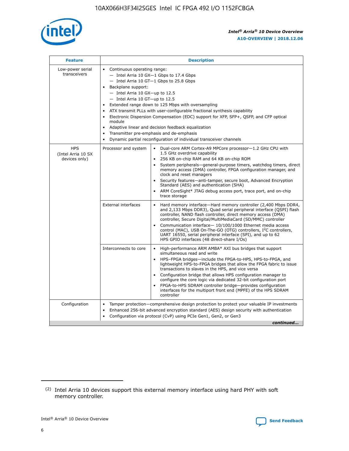

| <b>Feature</b>                                    | <b>Description</b>                                                                                                                                                                                                                                                                                                                                                                                                                                                                                                                                                                                                                             |  |  |  |  |  |  |  |  |
|---------------------------------------------------|------------------------------------------------------------------------------------------------------------------------------------------------------------------------------------------------------------------------------------------------------------------------------------------------------------------------------------------------------------------------------------------------------------------------------------------------------------------------------------------------------------------------------------------------------------------------------------------------------------------------------------------------|--|--|--|--|--|--|--|--|
| Low-power serial<br>transceivers                  | • Continuous operating range:<br>- Intel Arria 10 GX-1 Gbps to 17.4 Gbps<br>- Intel Arria 10 GT-1 Gbps to 25.8 Gbps<br>Backplane support:<br>$-$ Intel Arria 10 GX-up to 12.5<br>$-$ Intel Arria 10 GT-up to 12.5<br>Extended range down to 125 Mbps with oversampling<br>ATX transmit PLLs with user-configurable fractional synthesis capability<br>• Electronic Dispersion Compensation (EDC) support for XFP, SFP+, QSFP, and CFP optical<br>module<br>• Adaptive linear and decision feedback equalization<br>Transmitter pre-emphasis and de-emphasis<br>$\bullet$<br>Dynamic partial reconfiguration of individual transceiver channels |  |  |  |  |  |  |  |  |
| <b>HPS</b><br>(Intel Arria 10 SX<br>devices only) | Processor and system<br>Dual-core ARM Cortex-A9 MPCore processor-1.2 GHz CPU with<br>$\bullet$<br>1.5 GHz overdrive capability<br>256 KB on-chip RAM and 64 KB on-chip ROM<br>$\bullet$<br>System peripherals-general-purpose timers, watchdog timers, direct<br>memory access (DMA) controller, FPGA configuration manager, and<br>clock and reset managers<br>• Security features—anti-tamper, secure boot, Advanced Encryption<br>Standard (AES) and authentication (SHA)<br>ARM CoreSight* JTAG debug access port, trace port, and on-chip<br>trace storage                                                                                |  |  |  |  |  |  |  |  |
|                                                   | <b>External interfaces</b><br>Hard memory interface—Hard memory controller (2,400 Mbps DDR4,<br>$\bullet$<br>and 2,133 Mbps DDR3), Quad serial peripheral interface (QSPI) flash<br>controller, NAND flash controller, direct memory access (DMA)<br>controller, Secure Digital/MultiMediaCard (SD/MMC) controller<br>Communication interface-10/100/1000 Ethernet media access<br>control (MAC), USB On-The-GO (OTG) controllers, I <sup>2</sup> C controllers,<br>UART 16550, serial peripheral interface (SPI), and up to 62<br>HPS GPIO interfaces (48 direct-share I/Os)                                                                  |  |  |  |  |  |  |  |  |
|                                                   | High-performance ARM AMBA* AXI bus bridges that support<br>Interconnects to core<br>$\bullet$<br>simultaneous read and write<br>HPS-FPGA bridges—include the FPGA-to-HPS, HPS-to-FPGA, and<br>$\bullet$<br>lightweight HPS-to-FPGA bridges that allow the FPGA fabric to issue<br>transactions to slaves in the HPS, and vice versa<br>Configuration bridge that allows HPS configuration manager to<br>configure the core logic via dedicated 32-bit configuration port<br>FPGA-to-HPS SDRAM controller bridge-provides configuration<br>interfaces for the multiport front end (MPFE) of the HPS SDRAM<br>controller                         |  |  |  |  |  |  |  |  |
| Configuration                                     | Tamper protection—comprehensive design protection to protect your valuable IP investments<br>Enhanced 256-bit advanced encryption standard (AES) design security with authentication<br>$\bullet$<br>Configuration via protocol (CvP) using PCIe Gen1, Gen2, or Gen3<br>continued                                                                                                                                                                                                                                                                                                                                                              |  |  |  |  |  |  |  |  |

<sup>(2)</sup> Intel Arria 10 devices support this external memory interface using hard PHY with soft memory controller.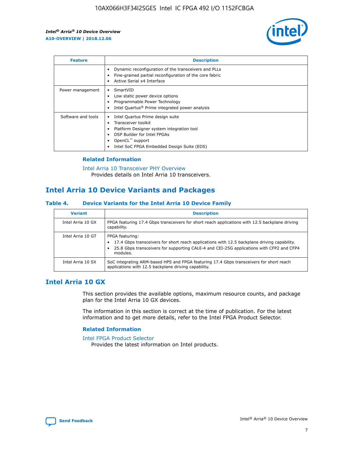

| <b>Feature</b>     | <b>Description</b>                                                                                                                                                                                                    |
|--------------------|-----------------------------------------------------------------------------------------------------------------------------------------------------------------------------------------------------------------------|
|                    | Dynamic reconfiguration of the transceivers and PLLs<br>Fine-grained partial reconfiguration of the core fabric<br>Active Serial x4 Interface                                                                         |
| Power management   | SmartVID<br>Low static power device options<br>Programmable Power Technology<br>Intel Quartus <sup>®</sup> Prime integrated power analysis                                                                            |
| Software and tools | Intel Quartus Prime design suite<br>Transceiver toolkit<br>٠<br>Platform Designer system integration tool<br>DSP Builder for Intel FPGAs<br>OpenCL <sup>™</sup> support<br>Intel SoC FPGA Embedded Design Suite (EDS) |

## **Related Information**

[Intel Arria 10 Transceiver PHY Overview](https://www.intel.com/content/www/us/en/programmable/documentation/nik1398707230472.html#nik1398706768037) Provides details on Intel Arria 10 transceivers.

## **Intel Arria 10 Device Variants and Packages**

#### **Table 4. Device Variants for the Intel Arria 10 Device Family**

| <b>Variant</b>    | <b>Description</b>                                                                                                                                                                                                     |
|-------------------|------------------------------------------------------------------------------------------------------------------------------------------------------------------------------------------------------------------------|
| Intel Arria 10 GX | FPGA featuring 17.4 Gbps transceivers for short reach applications with 12.5 backplane driving<br>capability.                                                                                                          |
| Intel Arria 10 GT | FPGA featuring:<br>17.4 Gbps transceivers for short reach applications with 12.5 backplane driving capability.<br>25.8 Gbps transceivers for supporting CAUI-4 and CEI-25G applications with CFP2 and CFP4<br>modules. |
| Intel Arria 10 SX | SoC integrating ARM-based HPS and FPGA featuring 17.4 Gbps transceivers for short reach<br>applications with 12.5 backplane driving capability.                                                                        |

## **Intel Arria 10 GX**

This section provides the available options, maximum resource counts, and package plan for the Intel Arria 10 GX devices.

The information in this section is correct at the time of publication. For the latest information and to get more details, refer to the Intel FPGA Product Selector.

#### **Related Information**

#### [Intel FPGA Product Selector](http://www.altera.com/products/selector/psg-selector.html) Provides the latest information on Intel products.

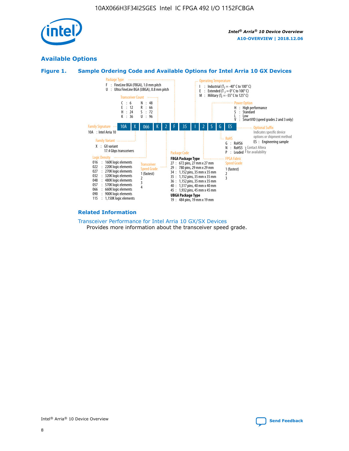

## **Available Options**





#### **Related Information**

[Transceiver Performance for Intel Arria 10 GX/SX Devices](https://www.intel.com/content/www/us/en/programmable/documentation/mcn1413182292568.html#mcn1413213965502) Provides more information about the transceiver speed grade.

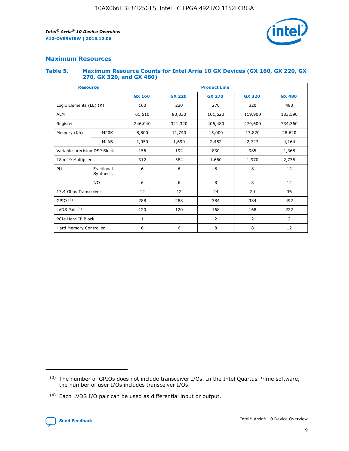

## **Maximum Resources**

#### **Table 5. Maximum Resource Counts for Intel Arria 10 GX Devices (GX 160, GX 220, GX 270, GX 320, and GX 480)**

| <b>Resource</b>              |                         | <b>Product Line</b> |                                                 |                    |                |                |  |  |  |
|------------------------------|-------------------------|---------------------|-------------------------------------------------|--------------------|----------------|----------------|--|--|--|
|                              |                         | <b>GX 160</b>       | <b>GX 220</b><br><b>GX 270</b><br><b>GX 320</b> |                    |                | <b>GX 480</b>  |  |  |  |
| Logic Elements (LE) (K)      |                         | 160                 | 220                                             | 270                | 320            | 480            |  |  |  |
| <b>ALM</b>                   |                         | 61,510              | 80,330                                          | 101,620            | 119,900        | 183,590        |  |  |  |
| Register                     |                         | 246,040             | 321,320                                         | 406,480<br>479,600 |                | 734,360        |  |  |  |
| Memory (Kb)                  | M <sub>20</sub> K       | 8,800               | 11,740                                          | 15,000             | 17,820         | 28,620         |  |  |  |
|                              | <b>MLAB</b>             | 1,050               | 1,690                                           | 2,452              | 2,727          | 4,164          |  |  |  |
| Variable-precision DSP Block |                         | 156                 | 192                                             | 830                | 985            |                |  |  |  |
| 18 x 19 Multiplier           |                         | 312                 | 384                                             | 1,660<br>1,970     |                | 2,736          |  |  |  |
| PLL                          | Fractional<br>Synthesis | 6                   | 6                                               | 8                  | 8              | 12             |  |  |  |
|                              | I/O                     | 6                   | 6                                               | 8                  | 8              | 12             |  |  |  |
| 17.4 Gbps Transceiver        |                         | 12                  | 12                                              | 24                 | 24             | 36             |  |  |  |
| GPIO <sup>(3)</sup>          |                         | 288                 | 288                                             | 384<br>384         |                | 492            |  |  |  |
| LVDS Pair $(4)$              |                         | 120                 | 120                                             | 168                | 168            | 222            |  |  |  |
| PCIe Hard IP Block           |                         | $\mathbf{1}$        | 1                                               | $\overline{2}$     | $\overline{2}$ | $\overline{2}$ |  |  |  |
| Hard Memory Controller       |                         | 6                   | 6                                               | 8                  | 8              |                |  |  |  |

<sup>(4)</sup> Each LVDS I/O pair can be used as differential input or output.



<sup>(3)</sup> The number of GPIOs does not include transceiver I/Os. In the Intel Quartus Prime software, the number of user I/Os includes transceiver I/Os.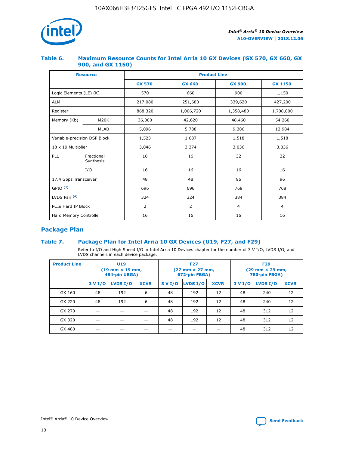

## **Table 6. Maximum Resource Counts for Intel Arria 10 GX Devices (GX 570, GX 660, GX 900, and GX 1150)**

|                              | <b>Resource</b>         | <b>Product Line</b> |                |                |                |  |  |  |
|------------------------------|-------------------------|---------------------|----------------|----------------|----------------|--|--|--|
|                              |                         | <b>GX 570</b>       | <b>GX 660</b>  | <b>GX 900</b>  | <b>GX 1150</b> |  |  |  |
| Logic Elements (LE) (K)      |                         | 570                 | 660            | 900            | 1,150          |  |  |  |
| <b>ALM</b>                   |                         | 217,080             | 251,680        | 339,620        | 427,200        |  |  |  |
| Register                     |                         | 868,320             | 1,006,720      |                | 1,708,800      |  |  |  |
| Memory (Kb)                  | <b>M20K</b>             | 36,000              | 42,620         | 48,460         | 54,260         |  |  |  |
|                              | <b>MLAB</b>             | 5,096               | 5,788          | 9,386          | 12,984         |  |  |  |
| Variable-precision DSP Block |                         | 1,523               | 1,687          | 1,518          | 1,518          |  |  |  |
| $18 \times 19$ Multiplier    |                         | 3,046               | 3,374          | 3,036          | 3,036          |  |  |  |
| PLL                          | Fractional<br>Synthesis | 16                  | 16             | 32             | 32             |  |  |  |
|                              | I/O                     | 16                  | 16             | 16             | 16             |  |  |  |
| 17.4 Gbps Transceiver        |                         | 48                  | 48<br>96       |                | 96             |  |  |  |
| GPIO <sup>(3)</sup>          |                         | 696                 | 696            | 768            | 768            |  |  |  |
| LVDS Pair $(4)$              |                         | 324                 | 324            | 384            | 384            |  |  |  |
| PCIe Hard IP Block           |                         | 2                   | $\overline{2}$ | $\overline{4}$ | 4              |  |  |  |
| Hard Memory Controller       |                         | 16                  | 16             | 16             | 16             |  |  |  |

## **Package Plan**

## **Table 7. Package Plan for Intel Arria 10 GX Devices (U19, F27, and F29)**

Refer to I/O and High Speed I/O in Intel Arria 10 Devices chapter for the number of 3 V I/O, LVDS I/O, and LVDS channels in each device package.

| <b>Product Line</b> | U <sub>19</sub><br>$(19 \text{ mm} \times 19 \text{ mm})$<br>484-pin UBGA) |          |             |         | <b>F27</b><br>(27 mm × 27 mm,<br>672-pin FBGA) |             | <b>F29</b><br>(29 mm × 29 mm,<br>780-pin FBGA) |          |             |  |
|---------------------|----------------------------------------------------------------------------|----------|-------------|---------|------------------------------------------------|-------------|------------------------------------------------|----------|-------------|--|
|                     | 3 V I/O                                                                    | LVDS I/O | <b>XCVR</b> | 3 V I/O | LVDS I/O                                       | <b>XCVR</b> | 3 V I/O                                        | LVDS I/O | <b>XCVR</b> |  |
| GX 160              | 48                                                                         | 192      | 6           | 48      | 192                                            | 12          | 48                                             | 240      | 12          |  |
| GX 220              | 48                                                                         | 192      | 6           | 48      | 192                                            | 12          | 48                                             | 240      | 12          |  |
| GX 270              |                                                                            |          |             | 48      | 192                                            | 12          | 48                                             | 312      | 12          |  |
| GX 320              |                                                                            |          |             | 48      | 192                                            | 12          | 48                                             | 312      | 12          |  |
| GX 480              |                                                                            |          |             |         |                                                |             | 48                                             | 312      | 12          |  |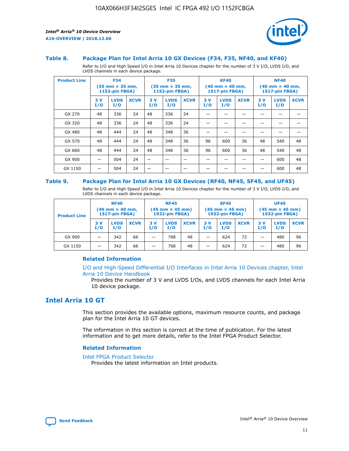

#### **Table 8. Package Plan for Intel Arria 10 GX Devices (F34, F35, NF40, and KF40)**

Refer to I/O and High Speed I/O in Intel Arria 10 Devices chapter for the number of 3 V I/O, LVDS I/O, and LVDS channels in each device package.

| <b>Product Line</b> | <b>F34</b><br>$(35 \text{ mm} \times 35 \text{ mm})$<br>1152-pin FBGA) |                    | <b>F35</b><br>$(35 \text{ mm} \times 35 \text{ mm})$<br><b>1152-pin FBGA)</b> |           | <b>KF40</b><br>$(40 \text{ mm} \times 40 \text{ mm})$<br>1517-pin FBGA) |             |            | <b>NF40</b><br>$(40 \text{ mm} \times 40 \text{ mm})$<br><b>1517-pin FBGA)</b> |             |            |                    |             |
|---------------------|------------------------------------------------------------------------|--------------------|-------------------------------------------------------------------------------|-----------|-------------------------------------------------------------------------|-------------|------------|--------------------------------------------------------------------------------|-------------|------------|--------------------|-------------|
|                     | 3V<br>I/O                                                              | <b>LVDS</b><br>I/O | <b>XCVR</b>                                                                   | 3V<br>I/O | <b>LVDS</b><br>I/O                                                      | <b>XCVR</b> | 3 V<br>I/O | <b>LVDS</b><br>I/O                                                             | <b>XCVR</b> | 3 V<br>I/O | <b>LVDS</b><br>I/O | <b>XCVR</b> |
| GX 270              | 48                                                                     | 336                | 24                                                                            | 48        | 336                                                                     | 24          |            |                                                                                |             |            |                    |             |
| GX 320              | 48                                                                     | 336                | 24                                                                            | 48        | 336                                                                     | 24          |            |                                                                                |             |            |                    |             |
| GX 480              | 48                                                                     | 444                | 24                                                                            | 48        | 348                                                                     | 36          |            |                                                                                |             |            |                    |             |
| GX 570              | 48                                                                     | 444                | 24                                                                            | 48        | 348                                                                     | 36          | 96         | 600                                                                            | 36          | 48         | 540                | 48          |
| GX 660              | 48                                                                     | 444                | 24                                                                            | 48        | 348                                                                     | 36          | 96         | 600                                                                            | 36          | 48         | 540                | 48          |
| GX 900              |                                                                        | 504                | 24                                                                            | -         |                                                                         |             |            |                                                                                |             |            | 600                | 48          |
| GX 1150             |                                                                        | 504                | 24                                                                            |           |                                                                         |             |            |                                                                                |             |            | 600                | 48          |

#### **Table 9. Package Plan for Intel Arria 10 GX Devices (RF40, NF45, SF45, and UF45)**

Refer to I/O and High Speed I/O in Intel Arria 10 Devices chapter for the number of 3 V I/O, LVDS I/O, and LVDS channels in each device package.

| <b>Product Line</b> | <b>RF40</b><br>$(40$ mm $\times$ 40 mm,<br>1517-pin FBGA) |                    | <b>NF45</b><br>$(45 \text{ mm} \times 45 \text{ mm})$<br><b>1932-pin FBGA)</b> |            |                    | <b>SF45</b><br>$(45 \text{ mm} \times 45 \text{ mm})$<br><b>1932-pin FBGA)</b> |            |                    | <b>UF45</b><br>$(45 \text{ mm} \times 45 \text{ mm})$<br><b>1932-pin FBGA)</b> |           |                    |             |
|---------------------|-----------------------------------------------------------|--------------------|--------------------------------------------------------------------------------|------------|--------------------|--------------------------------------------------------------------------------|------------|--------------------|--------------------------------------------------------------------------------|-----------|--------------------|-------------|
|                     | 3V<br>I/O                                                 | <b>LVDS</b><br>I/O | <b>XCVR</b>                                                                    | 3 V<br>I/O | <b>LVDS</b><br>I/O | <b>XCVR</b>                                                                    | 3 V<br>I/O | <b>LVDS</b><br>I/O | <b>XCVR</b>                                                                    | 3V<br>I/O | <b>LVDS</b><br>I/O | <b>XCVR</b> |
| GX 900              |                                                           | 342                | 66                                                                             | _          | 768                | 48                                                                             |            | 624                | 72                                                                             |           | 480                | 96          |
| GX 1150             |                                                           | 342                | 66                                                                             | _          | 768                | 48                                                                             |            | 624                | 72                                                                             |           | 480                | 96          |

#### **Related Information**

[I/O and High-Speed Differential I/O Interfaces in Intel Arria 10 Devices chapter, Intel](https://www.intel.com/content/www/us/en/programmable/documentation/sam1403482614086.html#sam1403482030321) [Arria 10 Device Handbook](https://www.intel.com/content/www/us/en/programmable/documentation/sam1403482614086.html#sam1403482030321)

Provides the number of 3 V and LVDS I/Os, and LVDS channels for each Intel Arria 10 device package.

## **Intel Arria 10 GT**

This section provides the available options, maximum resource counts, and package plan for the Intel Arria 10 GT devices.

The information in this section is correct at the time of publication. For the latest information and to get more details, refer to the Intel FPGA Product Selector.

#### **Related Information**

#### [Intel FPGA Product Selector](http://www.altera.com/products/selector/psg-selector.html)

Provides the latest information on Intel products.

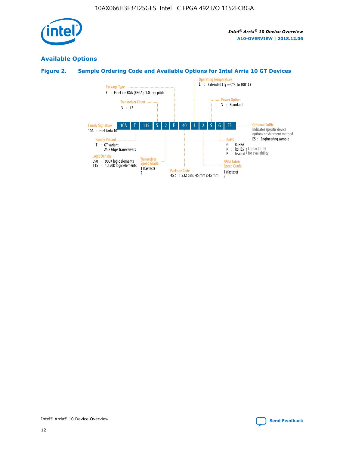

## **Available Options**

## **Figure 2. Sample Ordering Code and Available Options for Intel Arria 10 GT Devices**

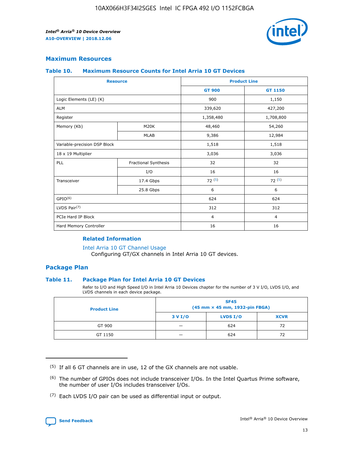

## **Maximum Resources**

#### **Table 10. Maximum Resource Counts for Intel Arria 10 GT Devices**

| <b>Resource</b>              |                      | <b>Product Line</b> |                |  |
|------------------------------|----------------------|---------------------|----------------|--|
|                              |                      | <b>GT 900</b>       | <b>GT 1150</b> |  |
| Logic Elements (LE) (K)      |                      | 900                 | 1,150          |  |
| <b>ALM</b>                   |                      | 339,620             | 427,200        |  |
| Register                     |                      | 1,358,480           | 1,708,800      |  |
| Memory (Kb)                  | M20K                 | 48,460              | 54,260         |  |
|                              | <b>MLAB</b>          | 9,386               | 12,984         |  |
| Variable-precision DSP Block |                      | 1,518               | 1,518          |  |
| 18 x 19 Multiplier           |                      | 3,036               | 3,036          |  |
| PLL                          | Fractional Synthesis | 32                  | 32             |  |
|                              | I/O                  | 16                  | 16             |  |
| Transceiver                  | 17.4 Gbps            | 72(5)               | 72(5)          |  |
|                              | 25.8 Gbps            | 6                   | 6              |  |
| GPIO <sup>(6)</sup>          |                      | 624                 | 624            |  |
| LVDS Pair $(7)$              |                      | 312                 | 312            |  |
| PCIe Hard IP Block           |                      | $\overline{4}$      | $\overline{4}$ |  |
| Hard Memory Controller       |                      | 16                  | 16             |  |

#### **Related Information**

#### [Intel Arria 10 GT Channel Usage](https://www.intel.com/content/www/us/en/programmable/documentation/nik1398707230472.html#nik1398707008178)

Configuring GT/GX channels in Intel Arria 10 GT devices.

## **Package Plan**

#### **Table 11. Package Plan for Intel Arria 10 GT Devices**

Refer to I/O and High Speed I/O in Intel Arria 10 Devices chapter for the number of 3 V I/O, LVDS I/O, and LVDS channels in each device package.

| <b>Product Line</b> | <b>SF45</b><br>(45 mm × 45 mm, 1932-pin FBGA) |                 |             |  |  |  |
|---------------------|-----------------------------------------------|-----------------|-------------|--|--|--|
|                     | 3 V I/O                                       | <b>LVDS I/O</b> | <b>XCVR</b> |  |  |  |
| GT 900              |                                               | 624             | 72          |  |  |  |
| GT 1150             |                                               | 624             | 72          |  |  |  |

<sup>(7)</sup> Each LVDS I/O pair can be used as differential input or output.



 $(5)$  If all 6 GT channels are in use, 12 of the GX channels are not usable.

<sup>(6)</sup> The number of GPIOs does not include transceiver I/Os. In the Intel Quartus Prime software, the number of user I/Os includes transceiver I/Os.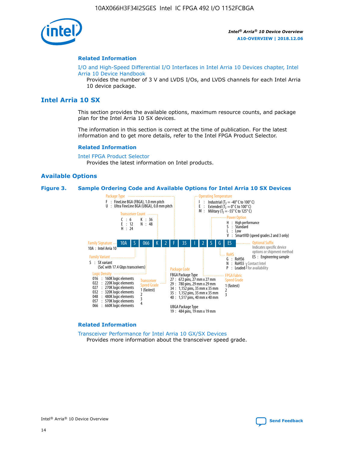

#### **Related Information**

[I/O and High-Speed Differential I/O Interfaces in Intel Arria 10 Devices chapter, Intel](https://www.intel.com/content/www/us/en/programmable/documentation/sam1403482614086.html#sam1403482030321) [Arria 10 Device Handbook](https://www.intel.com/content/www/us/en/programmable/documentation/sam1403482614086.html#sam1403482030321)

Provides the number of 3 V and LVDS I/Os, and LVDS channels for each Intel Arria 10 device package.

## **Intel Arria 10 SX**

This section provides the available options, maximum resource counts, and package plan for the Intel Arria 10 SX devices.

The information in this section is correct at the time of publication. For the latest information and to get more details, refer to the Intel FPGA Product Selector.

#### **Related Information**

[Intel FPGA Product Selector](http://www.altera.com/products/selector/psg-selector.html) Provides the latest information on Intel products.

#### **Available Options**

#### **Figure 3. Sample Ordering Code and Available Options for Intel Arria 10 SX Devices**



#### **Related Information**

[Transceiver Performance for Intel Arria 10 GX/SX Devices](https://www.intel.com/content/www/us/en/programmable/documentation/mcn1413182292568.html#mcn1413213965502) Provides more information about the transceiver speed grade.

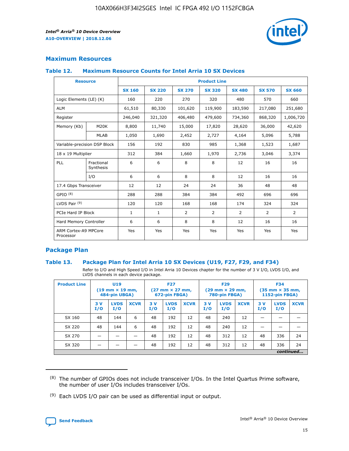

## **Maximum Resources**

#### **Table 12. Maximum Resource Counts for Intel Arria 10 SX Devices**

| <b>Resource</b>                   |                         | <b>Product Line</b> |               |                |                |                |                |                |  |  |  |
|-----------------------------------|-------------------------|---------------------|---------------|----------------|----------------|----------------|----------------|----------------|--|--|--|
|                                   |                         | <b>SX 160</b>       | <b>SX 220</b> | <b>SX 270</b>  | <b>SX 320</b>  | <b>SX 480</b>  | <b>SX 570</b>  | <b>SX 660</b>  |  |  |  |
| Logic Elements (LE) (K)           |                         | 160                 | 220           | 270            | 320            | 480            | 570            | 660            |  |  |  |
| <b>ALM</b>                        |                         | 61,510              | 80,330        | 101,620        | 119,900        | 183,590        | 217,080        | 251,680        |  |  |  |
| Register                          |                         | 246,040             | 321,320       | 406,480        | 479,600        | 734,360        | 868,320        | 1,006,720      |  |  |  |
| Memory (Kb)                       | M <sub>20</sub> K       | 8,800               | 11,740        | 15,000         | 17,820         | 28,620         | 36,000         | 42,620         |  |  |  |
|                                   | <b>MLAB</b>             | 1,050               | 1,690         | 2,452          | 2,727          | 4,164          | 5,096          | 5,788          |  |  |  |
| Variable-precision DSP Block      |                         | 156                 | 192           | 830            | 985            | 1,368          | 1,523          | 1,687          |  |  |  |
| 18 x 19 Multiplier                |                         | 312                 | 384           | 1,660          | 1,970          | 2,736          | 3,046          | 3,374          |  |  |  |
| PLL                               | Fractional<br>Synthesis | 6                   | 6             | 8              | 8              | 12             | 16             | 16             |  |  |  |
|                                   | I/O                     | 6                   | 6             | 8              | 8              | 12             | 16             | 16             |  |  |  |
| 17.4 Gbps Transceiver             |                         | 12                  | 12            | 24             | 24             | 36             | 48             | 48             |  |  |  |
| GPIO <sup>(8)</sup>               |                         | 288                 | 288           | 384            | 384            | 492            | 696            | 696            |  |  |  |
| LVDS Pair $(9)$                   |                         | 120                 | 120           | 168            | 168            | 174            | 324            | 324            |  |  |  |
| PCIe Hard IP Block                |                         | $\mathbf{1}$        | $\mathbf{1}$  | $\overline{2}$ | $\overline{2}$ | $\overline{2}$ | $\overline{2}$ | $\overline{2}$ |  |  |  |
| Hard Memory Controller            |                         | 6                   | 6             | 8              | 8              | 12             | 16             | 16             |  |  |  |
| ARM Cortex-A9 MPCore<br>Processor |                         | Yes                 | Yes           | Yes            | Yes            | Yes            | Yes            | <b>Yes</b>     |  |  |  |

## **Package Plan**

#### **Table 13. Package Plan for Intel Arria 10 SX Devices (U19, F27, F29, and F34)**

Refer to I/O and High Speed I/O in Intel Arria 10 Devices chapter for the number of 3 V I/O, LVDS I/O, and LVDS channels in each device package.

| <b>Product Line</b> | U <sub>19</sub><br>$(19 \text{ mm} \times 19 \text{ mm})$<br>484-pin UBGA) |                    | <b>F27</b><br>$(27 \text{ mm} \times 27 \text{ mm})$<br>672-pin FBGA) |           | <b>F29</b><br>$(29 \text{ mm} \times 29 \text{ mm})$<br>780-pin FBGA) |             |            | <b>F34</b><br>$(35 \text{ mm} \times 35 \text{ mm})$<br><b>1152-pin FBGA)</b> |             |           |                    |             |
|---------------------|----------------------------------------------------------------------------|--------------------|-----------------------------------------------------------------------|-----------|-----------------------------------------------------------------------|-------------|------------|-------------------------------------------------------------------------------|-------------|-----------|--------------------|-------------|
|                     | 3V<br>I/O                                                                  | <b>LVDS</b><br>I/O | <b>XCVR</b>                                                           | 3V<br>I/O | <b>LVDS</b><br>I/O                                                    | <b>XCVR</b> | 3 V<br>I/O | <b>LVDS</b><br>I/O                                                            | <b>XCVR</b> | 3V<br>I/O | <b>LVDS</b><br>I/O | <b>XCVR</b> |
| SX 160              | 48                                                                         | 144                | 6                                                                     | 48        | 192                                                                   | 12          | 48         | 240                                                                           | 12          | –         |                    |             |
| SX 220              | 48                                                                         | 144                | 6                                                                     | 48        | 192                                                                   | 12          | 48         | 240                                                                           | 12          |           |                    |             |
| SX 270              |                                                                            |                    |                                                                       | 48        | 192                                                                   | 12          | 48         | 312                                                                           | 12          | 48        | 336                | 24          |
| SX 320              |                                                                            |                    |                                                                       | 48        | 192                                                                   | 12          | 48         | 312                                                                           | 12          | 48        | 336                | 24          |
|                     | continued                                                                  |                    |                                                                       |           |                                                                       |             |            |                                                                               |             |           |                    |             |

 $(8)$  The number of GPIOs does not include transceiver I/Os. In the Intel Quartus Prime software, the number of user I/Os includes transceiver I/Os.

 $(9)$  Each LVDS I/O pair can be used as differential input or output.

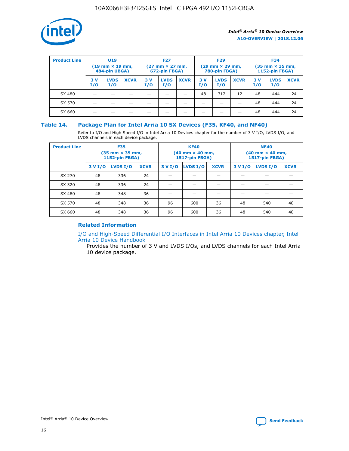

| <b>Product Line</b> | U <sub>19</sub><br>$(19 \text{ mm} \times 19 \text{ mm})$<br>484-pin UBGA) |                    | <b>F27</b><br>$(27 \text{ mm} \times 27 \text{ mm})$<br>672-pin FBGA) |           | <b>F29</b><br>$(29$ mm $\times$ 29 mm,<br>780-pin FBGA) |             |           | <b>F34</b><br>$(35$ mm $\times$ 35 mm,<br><b>1152-pin FBGA)</b> |             |            |                    |             |
|---------------------|----------------------------------------------------------------------------|--------------------|-----------------------------------------------------------------------|-----------|---------------------------------------------------------|-------------|-----------|-----------------------------------------------------------------|-------------|------------|--------------------|-------------|
|                     | 3 V<br>I/O                                                                 | <b>LVDS</b><br>I/O | <b>XCVR</b>                                                           | 3V<br>I/O | <b>LVDS</b><br>I/O                                      | <b>XCVR</b> | 3V<br>I/O | <b>LVDS</b><br>I/O                                              | <b>XCVR</b> | 3 V<br>I/O | <b>LVDS</b><br>I/O | <b>XCVR</b> |
| SX 480              |                                                                            |                    |                                                                       |           |                                                         |             | 48        | 312                                                             | 12          | 48         | 444                | 24          |
| SX 570              |                                                                            |                    |                                                                       |           |                                                         |             |           |                                                                 |             | 48         | 444                | 24          |
| SX 660              |                                                                            |                    |                                                                       |           |                                                         |             |           |                                                                 |             | 48         | 444                | 24          |

## **Table 14. Package Plan for Intel Arria 10 SX Devices (F35, KF40, and NF40)**

Refer to I/O and High Speed I/O in Intel Arria 10 Devices chapter for the number of 3 V I/O, LVDS I/O, and LVDS channels in each device package.

| <b>Product Line</b> | <b>F35</b><br>$(35 \text{ mm} \times 35 \text{ mm})$<br><b>1152-pin FBGA)</b> |          |             |                                           | <b>KF40</b><br>(40 mm × 40 mm,<br>1517-pin FBGA) |    | <b>NF40</b><br>$(40 \text{ mm} \times 40 \text{ mm})$<br>1517-pin FBGA) |          |             |  |
|---------------------|-------------------------------------------------------------------------------|----------|-------------|-------------------------------------------|--------------------------------------------------|----|-------------------------------------------------------------------------|----------|-------------|--|
|                     | 3 V I/O                                                                       | LVDS I/O | <b>XCVR</b> | <b>LVDS I/O</b><br><b>XCVR</b><br>3 V I/O |                                                  |    | 3 V I/O                                                                 | LVDS I/O | <b>XCVR</b> |  |
| SX 270              | 48                                                                            | 336      | 24          |                                           |                                                  |    |                                                                         |          |             |  |
| SX 320              | 48                                                                            | 336      | 24          |                                           |                                                  |    |                                                                         |          |             |  |
| SX 480              | 48                                                                            | 348      | 36          |                                           |                                                  |    |                                                                         |          |             |  |
| SX 570              | 48                                                                            | 348      | 36          | 96<br>36<br>600                           |                                                  | 48 | 540                                                                     | 48       |             |  |
| SX 660              | 48                                                                            | 348      | 36          | 96                                        | 600                                              | 36 | 48                                                                      | 540      | 48          |  |

## **Related Information**

[I/O and High-Speed Differential I/O Interfaces in Intel Arria 10 Devices chapter, Intel](https://www.intel.com/content/www/us/en/programmable/documentation/sam1403482614086.html#sam1403482030321) [Arria 10 Device Handbook](https://www.intel.com/content/www/us/en/programmable/documentation/sam1403482614086.html#sam1403482030321)

Provides the number of 3 V and LVDS I/Os, and LVDS channels for each Intel Arria 10 device package.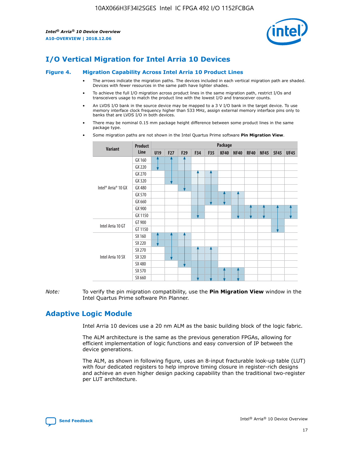

# **I/O Vertical Migration for Intel Arria 10 Devices**

#### **Figure 4. Migration Capability Across Intel Arria 10 Product Lines**

- The arrows indicate the migration paths. The devices included in each vertical migration path are shaded. Devices with fewer resources in the same path have lighter shades.
- To achieve the full I/O migration across product lines in the same migration path, restrict I/Os and transceivers usage to match the product line with the lowest I/O and transceiver counts.
- An LVDS I/O bank in the source device may be mapped to a 3 V I/O bank in the target device. To use memory interface clock frequency higher than 533 MHz, assign external memory interface pins only to banks that are LVDS I/O in both devices.
- There may be nominal 0.15 mm package height difference between some product lines in the same package type.
	- **Variant Product Line Package U19 F27 F29 F34 F35 KF40 NF40 RF40 NF45 SF45 UF45** Intel® Arria® 10 GX GX 160 GX 220 GX 270 GX 320 GX 480 GX 570 GX 660 GX 900 GX 1150 Intel Arria 10 GT GT 900 GT 1150 Intel Arria 10 SX SX 160 SX 220 SX 270 SX 320 SX 480 SX 570 SX 660
- Some migration paths are not shown in the Intel Quartus Prime software **Pin Migration View**.

*Note:* To verify the pin migration compatibility, use the **Pin Migration View** window in the Intel Quartus Prime software Pin Planner.

## **Adaptive Logic Module**

Intel Arria 10 devices use a 20 nm ALM as the basic building block of the logic fabric.

The ALM architecture is the same as the previous generation FPGAs, allowing for efficient implementation of logic functions and easy conversion of IP between the device generations.

The ALM, as shown in following figure, uses an 8-input fracturable look-up table (LUT) with four dedicated registers to help improve timing closure in register-rich designs and achieve an even higher design packing capability than the traditional two-register per LUT architecture.

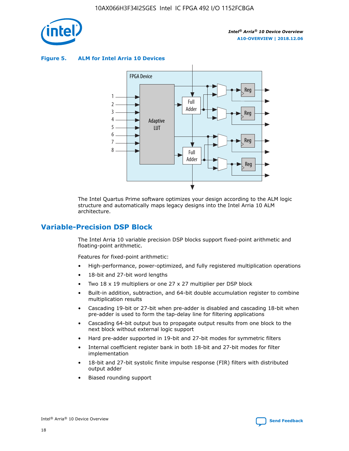

**Figure 5. ALM for Intel Arria 10 Devices**



The Intel Quartus Prime software optimizes your design according to the ALM logic structure and automatically maps legacy designs into the Intel Arria 10 ALM architecture.

## **Variable-Precision DSP Block**

The Intel Arria 10 variable precision DSP blocks support fixed-point arithmetic and floating-point arithmetic.

Features for fixed-point arithmetic:

- High-performance, power-optimized, and fully registered multiplication operations
- 18-bit and 27-bit word lengths
- Two 18 x 19 multipliers or one 27 x 27 multiplier per DSP block
- Built-in addition, subtraction, and 64-bit double accumulation register to combine multiplication results
- Cascading 19-bit or 27-bit when pre-adder is disabled and cascading 18-bit when pre-adder is used to form the tap-delay line for filtering applications
- Cascading 64-bit output bus to propagate output results from one block to the next block without external logic support
- Hard pre-adder supported in 19-bit and 27-bit modes for symmetric filters
- Internal coefficient register bank in both 18-bit and 27-bit modes for filter implementation
- 18-bit and 27-bit systolic finite impulse response (FIR) filters with distributed output adder
- Biased rounding support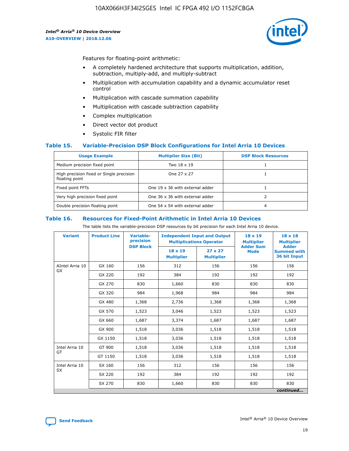

Features for floating-point arithmetic:

- A completely hardened architecture that supports multiplication, addition, subtraction, multiply-add, and multiply-subtract
- Multiplication with accumulation capability and a dynamic accumulator reset control
- Multiplication with cascade summation capability
- Multiplication with cascade subtraction capability
- Complex multiplication
- Direct vector dot product
- Systolic FIR filter

#### **Table 15. Variable-Precision DSP Block Configurations for Intel Arria 10 Devices**

| <b>Usage Example</b>                                       | <b>Multiplier Size (Bit)</b>    | <b>DSP Block Resources</b> |
|------------------------------------------------------------|---------------------------------|----------------------------|
| Medium precision fixed point                               | Two 18 x 19                     |                            |
| High precision fixed or Single precision<br>floating point | One 27 x 27                     |                            |
| Fixed point FFTs                                           | One 19 x 36 with external adder |                            |
| Very high precision fixed point                            | One 36 x 36 with external adder |                            |
| Double precision floating point                            | One 54 x 54 with external adder | 4                          |

#### **Table 16. Resources for Fixed-Point Arithmetic in Intel Arria 10 Devices**

The table lists the variable-precision DSP resources by bit precision for each Intel Arria 10 device.

| <b>Variant</b>  | <b>Product Line</b> | <b>Variable-</b><br>precision<br><b>DSP Block</b> | <b>Independent Input and Output</b><br><b>Multiplications Operator</b> |                                     | 18 x 19<br><b>Multiplier</b><br><b>Adder Sum</b> | $18 \times 18$<br><b>Multiplier</b><br><b>Adder</b> |
|-----------------|---------------------|---------------------------------------------------|------------------------------------------------------------------------|-------------------------------------|--------------------------------------------------|-----------------------------------------------------|
|                 |                     |                                                   | 18 x 19<br><b>Multiplier</b>                                           | $27 \times 27$<br><b>Multiplier</b> | <b>Mode</b>                                      | <b>Summed with</b><br>36 bit Input                  |
| AIntel Arria 10 | GX 160              | 156                                               | 312                                                                    | 156                                 | 156                                              | 156                                                 |
| GX              | GX 220              | 192                                               | 384                                                                    | 192                                 | 192                                              | 192                                                 |
|                 | GX 270              | 830                                               | 1,660                                                                  | 830                                 | 830                                              | 830                                                 |
|                 | GX 320              | 984                                               | 1,968                                                                  | 984                                 | 984                                              | 984                                                 |
|                 | GX 480              | 1,368                                             | 2,736                                                                  | 1,368                               | 1,368                                            | 1,368                                               |
|                 | GX 570              | 1,523                                             | 3,046                                                                  | 1,523                               | 1,523                                            | 1,523                                               |
|                 | GX 660              | 1,687                                             | 3,374                                                                  | 1,687                               | 1,687                                            | 1,687                                               |
|                 | GX 900              | 1,518                                             | 3,036                                                                  | 1,518                               | 1,518                                            | 1,518                                               |
|                 | GX 1150             | 1,518                                             | 3,036                                                                  | 1,518                               | 1,518                                            | 1,518                                               |
| Intel Arria 10  | GT 900              | 1,518                                             | 3,036                                                                  | 1,518                               | 1,518                                            | 1,518                                               |
| GT              | GT 1150             | 1,518                                             | 3,036                                                                  | 1,518                               | 1,518                                            | 1,518                                               |
| Intel Arria 10  | SX 160              | 156                                               | 312                                                                    | 156                                 | 156                                              | 156                                                 |
| <b>SX</b>       | SX 220<br>192       |                                                   | 384                                                                    | 192                                 | 192                                              | 192                                                 |
|                 | SX 270              | 830                                               | 1,660                                                                  | 830                                 | 830                                              | 830                                                 |
|                 |                     |                                                   |                                                                        |                                     |                                                  | continued                                           |

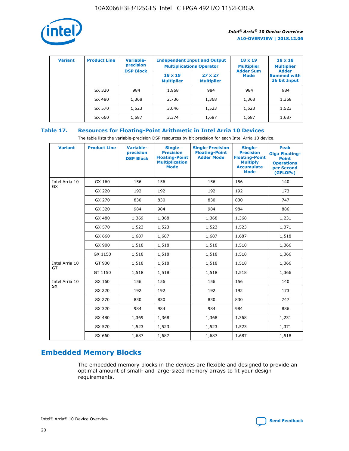

| <b>Variant</b> | <b>Product Line</b> | Variable-<br>precision | <b>Independent Input and Output</b><br><b>Multiplications Operator</b> |                                     | $18 \times 19$<br><b>Multiplier</b> | $18 \times 18$<br><b>Multiplier</b><br><b>Adder</b> |  |
|----------------|---------------------|------------------------|------------------------------------------------------------------------|-------------------------------------|-------------------------------------|-----------------------------------------------------|--|
|                |                     | <b>DSP Block</b>       | $18 \times 19$<br><b>Multiplier</b>                                    | $27 \times 27$<br><b>Multiplier</b> | <b>Adder Sum</b><br><b>Mode</b>     | <b>Summed with</b><br>36 bit Input                  |  |
|                | SX 320              | 984                    | 1,968                                                                  | 984                                 | 984                                 | 984                                                 |  |
|                | SX 480              | 1,368                  | 2,736                                                                  | 1,368                               | 1,368                               | 1,368                                               |  |
|                | SX 570              | 1,523                  | 3,046                                                                  | 1,523                               | 1,523                               | 1,523                                               |  |
|                | SX 660              | 1,687                  | 3,374                                                                  | 1,687                               | 1,687                               | 1,687                                               |  |

## **Table 17. Resources for Floating-Point Arithmetic in Intel Arria 10 Devices**

The table lists the variable-precision DSP resources by bit precision for each Intel Arria 10 device.

| <b>Variant</b>       | <b>Product Line</b> | <b>Variable-</b><br>precision<br><b>DSP Block</b> | <b>Single</b><br><b>Precision</b><br><b>Floating-Point</b><br><b>Multiplication</b><br><b>Mode</b> | <b>Single-Precision</b><br><b>Floating-Point</b><br><b>Adder Mode</b> | Single-<br><b>Precision</b><br><b>Floating-Point</b><br><b>Multiply</b><br><b>Accumulate</b><br><b>Mode</b> | <b>Peak</b><br><b>Giga Floating-</b><br><b>Point</b><br><b>Operations</b><br>per Second<br>(GFLOPs) |
|----------------------|---------------------|---------------------------------------------------|----------------------------------------------------------------------------------------------------|-----------------------------------------------------------------------|-------------------------------------------------------------------------------------------------------------|-----------------------------------------------------------------------------------------------------|
| Intel Arria 10<br>GX | GX 160              | 156                                               | 156                                                                                                | 156                                                                   | 156                                                                                                         | 140                                                                                                 |
|                      | GX 220              | 192                                               | 192                                                                                                | 192                                                                   | 192                                                                                                         | 173                                                                                                 |
|                      | GX 270              | 830                                               | 830                                                                                                | 830                                                                   | 830                                                                                                         | 747                                                                                                 |
|                      | GX 320              | 984                                               | 984                                                                                                | 984                                                                   | 984                                                                                                         | 886                                                                                                 |
|                      | GX 480              | 1,369                                             | 1,368                                                                                              | 1,368                                                                 | 1,368                                                                                                       | 1,231                                                                                               |
|                      | GX 570              | 1,523                                             | 1,523                                                                                              | 1,523                                                                 | 1,523                                                                                                       | 1,371                                                                                               |
|                      | GX 660              | 1,687                                             | 1,687                                                                                              | 1,687                                                                 | 1,687                                                                                                       | 1,518                                                                                               |
|                      | GX 900              | 1,518                                             | 1,518                                                                                              | 1,518                                                                 | 1,518                                                                                                       | 1,366                                                                                               |
|                      | GX 1150             | 1,518                                             | 1,518                                                                                              | 1,518                                                                 | 1,518                                                                                                       | 1,366                                                                                               |
| Intel Arria 10       | GT 900              | 1,518                                             | 1,518                                                                                              | 1,518                                                                 | 1,518                                                                                                       | 1,366                                                                                               |
| GT                   | GT 1150             | 1,518                                             | 1,518                                                                                              | 1,518                                                                 | 1,518                                                                                                       | 1,366                                                                                               |
| Intel Arria 10       | SX 160              | 156                                               | 156                                                                                                | 156                                                                   | 156                                                                                                         | 140                                                                                                 |
| <b>SX</b>            | SX 220              | 192                                               | 192                                                                                                | 192                                                                   | 192                                                                                                         | 173                                                                                                 |
|                      | SX 270              | 830                                               | 830                                                                                                | 830                                                                   | 830                                                                                                         | 747                                                                                                 |
|                      | SX 320              | 984                                               | 984                                                                                                | 984                                                                   | 984                                                                                                         | 886                                                                                                 |
|                      | SX 480              | 1,369                                             | 1,368                                                                                              | 1,368                                                                 | 1,368                                                                                                       | 1,231                                                                                               |
|                      | SX 570              | 1,523                                             | 1,523                                                                                              | 1,523                                                                 | 1,523                                                                                                       | 1,371                                                                                               |
|                      | SX 660              | 1,687                                             | 1,687                                                                                              | 1,687                                                                 | 1,687                                                                                                       | 1,518                                                                                               |

# **Embedded Memory Blocks**

The embedded memory blocks in the devices are flexible and designed to provide an optimal amount of small- and large-sized memory arrays to fit your design requirements.

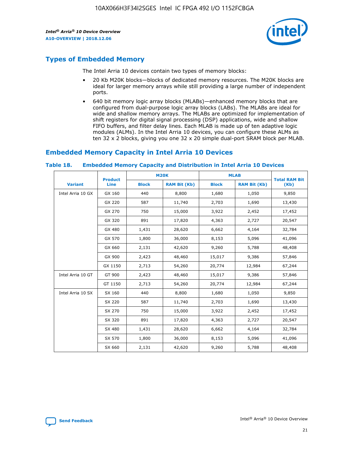

## **Types of Embedded Memory**

The Intel Arria 10 devices contain two types of memory blocks:

- 20 Kb M20K blocks—blocks of dedicated memory resources. The M20K blocks are ideal for larger memory arrays while still providing a large number of independent ports.
- 640 bit memory logic array blocks (MLABs)—enhanced memory blocks that are configured from dual-purpose logic array blocks (LABs). The MLABs are ideal for wide and shallow memory arrays. The MLABs are optimized for implementation of shift registers for digital signal processing (DSP) applications, wide and shallow FIFO buffers, and filter delay lines. Each MLAB is made up of ten adaptive logic modules (ALMs). In the Intel Arria 10 devices, you can configure these ALMs as ten 32 x 2 blocks, giving you one 32 x 20 simple dual-port SRAM block per MLAB.

## **Embedded Memory Capacity in Intel Arria 10 Devices**

|                   | <b>Product</b> |              | <b>M20K</b>         | <b>MLAB</b>  |                     | <b>Total RAM Bit</b> |
|-------------------|----------------|--------------|---------------------|--------------|---------------------|----------------------|
| <b>Variant</b>    | <b>Line</b>    | <b>Block</b> | <b>RAM Bit (Kb)</b> | <b>Block</b> | <b>RAM Bit (Kb)</b> | (Kb)                 |
| Intel Arria 10 GX | GX 160         | 440          | 8,800               | 1,680        | 1,050               | 9,850                |
|                   | GX 220         | 587          | 11,740              | 2,703        | 1,690               | 13,430               |
|                   | GX 270         | 750          | 15,000              | 3,922        | 2,452               | 17,452               |
|                   | GX 320         | 891          | 17,820              | 4,363        | 2,727               | 20,547               |
|                   | GX 480         | 1,431        | 28,620              | 6,662        | 4,164               | 32,784               |
|                   | GX 570         | 1,800        | 36,000              | 8,153        | 5,096               | 41,096               |
|                   | GX 660         | 2,131        | 42,620              | 9,260        | 5,788               | 48,408               |
|                   | GX 900         | 2,423        | 48,460              | 15,017       | 9,386               | 57,846               |
|                   | GX 1150        | 2,713        | 54,260              | 20,774       | 12,984              | 67,244               |
| Intel Arria 10 GT | GT 900         | 2,423        | 48,460              | 15,017       | 9,386               | 57,846               |
|                   | GT 1150        | 2,713        | 54,260              | 20,774       | 12,984              | 67,244               |
| Intel Arria 10 SX | SX 160         | 440          | 8,800               | 1,680        | 1,050               | 9,850                |
|                   | SX 220         | 587          | 11,740              | 2,703        | 1,690               | 13,430               |
|                   | SX 270         | 750          | 15,000              | 3,922        | 2,452               | 17,452               |
|                   | SX 320         | 891          | 17,820              | 4,363        | 2,727               | 20,547               |
|                   | SX 480         | 1,431        | 28,620              | 6,662        | 4,164               | 32,784               |
|                   | SX 570         | 1,800        | 36,000              | 8,153        | 5,096               | 41,096               |
|                   | SX 660         | 2,131        | 42,620              | 9,260        | 5,788               | 48,408               |

#### **Table 18. Embedded Memory Capacity and Distribution in Intel Arria 10 Devices**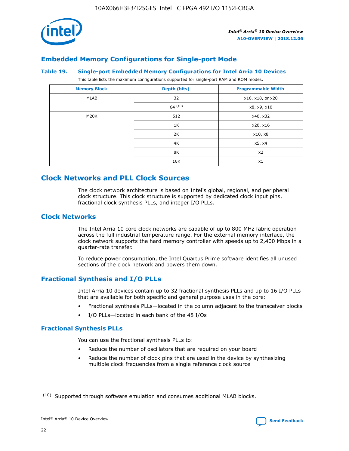

## **Embedded Memory Configurations for Single-port Mode**

## **Table 19. Single-port Embedded Memory Configurations for Intel Arria 10 Devices**

This table lists the maximum configurations supported for single-port RAM and ROM modes.

| <b>Memory Block</b> | Depth (bits) | <b>Programmable Width</b> |
|---------------------|--------------|---------------------------|
| MLAB                | 32           | x16, x18, or x20          |
|                     | 64(10)       | x8, x9, x10               |
| M20K                | 512          | x40, x32                  |
|                     | 1K           | x20, x16                  |
|                     | 2K           | x10, x8                   |
|                     | 4K           | x5, x4                    |
|                     | 8K           | x2                        |
|                     | 16K          | x1                        |

## **Clock Networks and PLL Clock Sources**

The clock network architecture is based on Intel's global, regional, and peripheral clock structure. This clock structure is supported by dedicated clock input pins, fractional clock synthesis PLLs, and integer I/O PLLs.

## **Clock Networks**

The Intel Arria 10 core clock networks are capable of up to 800 MHz fabric operation across the full industrial temperature range. For the external memory interface, the clock network supports the hard memory controller with speeds up to 2,400 Mbps in a quarter-rate transfer.

To reduce power consumption, the Intel Quartus Prime software identifies all unused sections of the clock network and powers them down.

## **Fractional Synthesis and I/O PLLs**

Intel Arria 10 devices contain up to 32 fractional synthesis PLLs and up to 16 I/O PLLs that are available for both specific and general purpose uses in the core:

- Fractional synthesis PLLs—located in the column adjacent to the transceiver blocks
- I/O PLLs—located in each bank of the 48 I/Os

## **Fractional Synthesis PLLs**

You can use the fractional synthesis PLLs to:

- Reduce the number of oscillators that are required on your board
- Reduce the number of clock pins that are used in the device by synthesizing multiple clock frequencies from a single reference clock source

<sup>(10)</sup> Supported through software emulation and consumes additional MLAB blocks.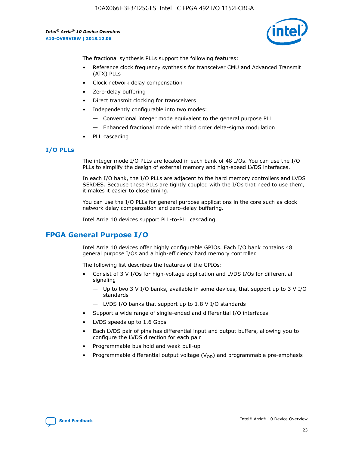

The fractional synthesis PLLs support the following features:

- Reference clock frequency synthesis for transceiver CMU and Advanced Transmit (ATX) PLLs
- Clock network delay compensation
- Zero-delay buffering
- Direct transmit clocking for transceivers
- Independently configurable into two modes:
	- Conventional integer mode equivalent to the general purpose PLL
	- Enhanced fractional mode with third order delta-sigma modulation
- PLL cascading

## **I/O PLLs**

The integer mode I/O PLLs are located in each bank of 48 I/Os. You can use the I/O PLLs to simplify the design of external memory and high-speed LVDS interfaces.

In each I/O bank, the I/O PLLs are adjacent to the hard memory controllers and LVDS SERDES. Because these PLLs are tightly coupled with the I/Os that need to use them, it makes it easier to close timing.

You can use the I/O PLLs for general purpose applications in the core such as clock network delay compensation and zero-delay buffering.

Intel Arria 10 devices support PLL-to-PLL cascading.

## **FPGA General Purpose I/O**

Intel Arria 10 devices offer highly configurable GPIOs. Each I/O bank contains 48 general purpose I/Os and a high-efficiency hard memory controller.

The following list describes the features of the GPIOs:

- Consist of 3 V I/Os for high-voltage application and LVDS I/Os for differential signaling
	- Up to two 3 V I/O banks, available in some devices, that support up to 3 V I/O standards
	- LVDS I/O banks that support up to 1.8 V I/O standards
- Support a wide range of single-ended and differential I/O interfaces
- LVDS speeds up to 1.6 Gbps
- Each LVDS pair of pins has differential input and output buffers, allowing you to configure the LVDS direction for each pair.
- Programmable bus hold and weak pull-up
- Programmable differential output voltage  $(V_{OD})$  and programmable pre-emphasis

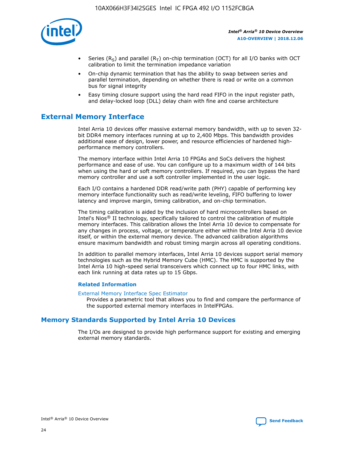

- Series (R<sub>S</sub>) and parallel (R<sub>T</sub>) on-chip termination (OCT) for all I/O banks with OCT calibration to limit the termination impedance variation
- On-chip dynamic termination that has the ability to swap between series and parallel termination, depending on whether there is read or write on a common bus for signal integrity
- Easy timing closure support using the hard read FIFO in the input register path, and delay-locked loop (DLL) delay chain with fine and coarse architecture

## **External Memory Interface**

Intel Arria 10 devices offer massive external memory bandwidth, with up to seven 32 bit DDR4 memory interfaces running at up to 2,400 Mbps. This bandwidth provides additional ease of design, lower power, and resource efficiencies of hardened highperformance memory controllers.

The memory interface within Intel Arria 10 FPGAs and SoCs delivers the highest performance and ease of use. You can configure up to a maximum width of 144 bits when using the hard or soft memory controllers. If required, you can bypass the hard memory controller and use a soft controller implemented in the user logic.

Each I/O contains a hardened DDR read/write path (PHY) capable of performing key memory interface functionality such as read/write leveling, FIFO buffering to lower latency and improve margin, timing calibration, and on-chip termination.

The timing calibration is aided by the inclusion of hard microcontrollers based on Intel's Nios® II technology, specifically tailored to control the calibration of multiple memory interfaces. This calibration allows the Intel Arria 10 device to compensate for any changes in process, voltage, or temperature either within the Intel Arria 10 device itself, or within the external memory device. The advanced calibration algorithms ensure maximum bandwidth and robust timing margin across all operating conditions.

In addition to parallel memory interfaces, Intel Arria 10 devices support serial memory technologies such as the Hybrid Memory Cube (HMC). The HMC is supported by the Intel Arria 10 high-speed serial transceivers which connect up to four HMC links, with each link running at data rates up to 15 Gbps.

#### **Related Information**

#### [External Memory Interface Spec Estimator](http://www.altera.com/technology/memory/estimator/mem-emif-index.html)

Provides a parametric tool that allows you to find and compare the performance of the supported external memory interfaces in IntelFPGAs.

## **Memory Standards Supported by Intel Arria 10 Devices**

The I/Os are designed to provide high performance support for existing and emerging external memory standards.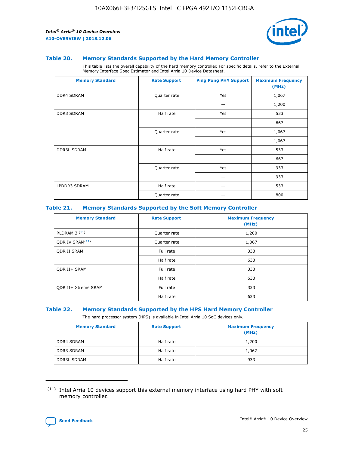

#### **Table 20. Memory Standards Supported by the Hard Memory Controller**

This table lists the overall capability of the hard memory controller. For specific details, refer to the External Memory Interface Spec Estimator and Intel Arria 10 Device Datasheet.

| <b>Memory Standard</b> | <b>Rate Support</b> | <b>Ping Pong PHY Support</b> | <b>Maximum Frequency</b><br>(MHz) |
|------------------------|---------------------|------------------------------|-----------------------------------|
| <b>DDR4 SDRAM</b>      | Quarter rate        | Yes                          | 1,067                             |
|                        |                     |                              | 1,200                             |
| DDR3 SDRAM             | Half rate           | Yes                          | 533                               |
|                        |                     |                              | 667                               |
|                        | Quarter rate        | Yes                          | 1,067                             |
|                        |                     |                              | 1,067                             |
| <b>DDR3L SDRAM</b>     | Half rate           | Yes                          | 533                               |
|                        |                     |                              | 667                               |
|                        | Quarter rate        | Yes                          | 933                               |
|                        |                     |                              | 933                               |
| LPDDR3 SDRAM           | Half rate           |                              | 533                               |
|                        | Quarter rate        |                              | 800                               |

#### **Table 21. Memory Standards Supported by the Soft Memory Controller**

| <b>Memory Standard</b>      | <b>Rate Support</b> | <b>Maximum Frequency</b><br>(MHz) |
|-----------------------------|---------------------|-----------------------------------|
| <b>RLDRAM 3 (11)</b>        | Quarter rate        | 1,200                             |
| ODR IV SRAM <sup>(11)</sup> | Quarter rate        | 1,067                             |
| <b>ODR II SRAM</b>          | Full rate           | 333                               |
|                             | Half rate           | 633                               |
| <b>ODR II+ SRAM</b>         | Full rate           | 333                               |
|                             | Half rate           | 633                               |
| <b>ODR II+ Xtreme SRAM</b>  | Full rate           | 333                               |
|                             | Half rate           | 633                               |

#### **Table 22. Memory Standards Supported by the HPS Hard Memory Controller**

The hard processor system (HPS) is available in Intel Arria 10 SoC devices only.

| <b>Memory Standard</b> | <b>Rate Support</b> | <b>Maximum Frequency</b><br>(MHz) |
|------------------------|---------------------|-----------------------------------|
| <b>DDR4 SDRAM</b>      | Half rate           | 1,200                             |
| <b>DDR3 SDRAM</b>      | Half rate           | 1,067                             |
| <b>DDR3L SDRAM</b>     | Half rate           | 933                               |

<sup>(11)</sup> Intel Arria 10 devices support this external memory interface using hard PHY with soft memory controller.

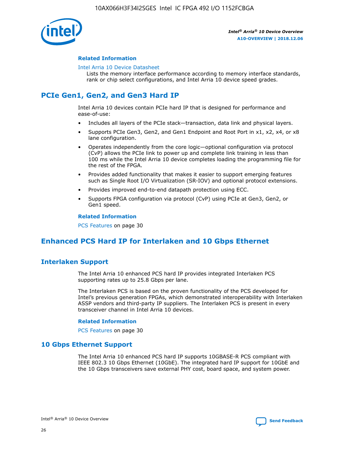

#### **Related Information**

#### [Intel Arria 10 Device Datasheet](https://www.intel.com/content/www/us/en/programmable/documentation/mcn1413182292568.html#mcn1413182153340)

Lists the memory interface performance according to memory interface standards, rank or chip select configurations, and Intel Arria 10 device speed grades.

# **PCIe Gen1, Gen2, and Gen3 Hard IP**

Intel Arria 10 devices contain PCIe hard IP that is designed for performance and ease-of-use:

- Includes all layers of the PCIe stack—transaction, data link and physical layers.
- Supports PCIe Gen3, Gen2, and Gen1 Endpoint and Root Port in x1, x2, x4, or x8 lane configuration.
- Operates independently from the core logic—optional configuration via protocol (CvP) allows the PCIe link to power up and complete link training in less than 100 ms while the Intel Arria 10 device completes loading the programming file for the rest of the FPGA.
- Provides added functionality that makes it easier to support emerging features such as Single Root I/O Virtualization (SR-IOV) and optional protocol extensions.
- Provides improved end-to-end datapath protection using ECC.
- Supports FPGA configuration via protocol (CvP) using PCIe at Gen3, Gen2, or Gen1 speed.

#### **Related Information**

PCS Features on page 30

## **Enhanced PCS Hard IP for Interlaken and 10 Gbps Ethernet**

## **Interlaken Support**

The Intel Arria 10 enhanced PCS hard IP provides integrated Interlaken PCS supporting rates up to 25.8 Gbps per lane.

The Interlaken PCS is based on the proven functionality of the PCS developed for Intel's previous generation FPGAs, which demonstrated interoperability with Interlaken ASSP vendors and third-party IP suppliers. The Interlaken PCS is present in every transceiver channel in Intel Arria 10 devices.

#### **Related Information**

PCS Features on page 30

## **10 Gbps Ethernet Support**

The Intel Arria 10 enhanced PCS hard IP supports 10GBASE-R PCS compliant with IEEE 802.3 10 Gbps Ethernet (10GbE). The integrated hard IP support for 10GbE and the 10 Gbps transceivers save external PHY cost, board space, and system power.

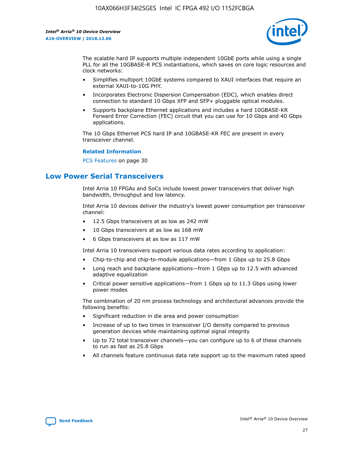

The scalable hard IP supports multiple independent 10GbE ports while using a single PLL for all the 10GBASE-R PCS instantiations, which saves on core logic resources and clock networks:

- Simplifies multiport 10GbE systems compared to XAUI interfaces that require an external XAUI-to-10G PHY.
- Incorporates Electronic Dispersion Compensation (EDC), which enables direct connection to standard 10 Gbps XFP and SFP+ pluggable optical modules.
- Supports backplane Ethernet applications and includes a hard 10GBASE-KR Forward Error Correction (FEC) circuit that you can use for 10 Gbps and 40 Gbps applications.

The 10 Gbps Ethernet PCS hard IP and 10GBASE-KR FEC are present in every transceiver channel.

#### **Related Information**

PCS Features on page 30

## **Low Power Serial Transceivers**

Intel Arria 10 FPGAs and SoCs include lowest power transceivers that deliver high bandwidth, throughput and low latency.

Intel Arria 10 devices deliver the industry's lowest power consumption per transceiver channel:

- 12.5 Gbps transceivers at as low as 242 mW
- 10 Gbps transceivers at as low as 168 mW
- 6 Gbps transceivers at as low as 117 mW

Intel Arria 10 transceivers support various data rates according to application:

- Chip-to-chip and chip-to-module applications—from 1 Gbps up to 25.8 Gbps
- Long reach and backplane applications—from 1 Gbps up to 12.5 with advanced adaptive equalization
- Critical power sensitive applications—from 1 Gbps up to 11.3 Gbps using lower power modes

The combination of 20 nm process technology and architectural advances provide the following benefits:

- Significant reduction in die area and power consumption
- Increase of up to two times in transceiver I/O density compared to previous generation devices while maintaining optimal signal integrity
- Up to 72 total transceiver channels—you can configure up to 6 of these channels to run as fast as 25.8 Gbps
- All channels feature continuous data rate support up to the maximum rated speed

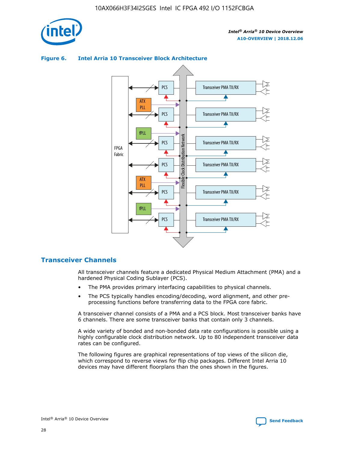

## **Figure 6. Intel Arria 10 Transceiver Block Architecture** Transceiver PMA TX/RX PCS ATX PLL Transceiver PMA TX/RX PCS fPLL Network Flexible Clock Distribution Network PCS Transceiver PMA TX/RX FPGA **Clock Distribution** Fabric PCS Transceiver PMA TX/RX ATX Flexible PLL PCS Transceiver PMA TX/RX ▲ fPLL Transceiver PMA TX/RX PCS 4

# **Transceiver Channels**

All transceiver channels feature a dedicated Physical Medium Attachment (PMA) and a hardened Physical Coding Sublayer (PCS).

- The PMA provides primary interfacing capabilities to physical channels.
- The PCS typically handles encoding/decoding, word alignment, and other preprocessing functions before transferring data to the FPGA core fabric.

A transceiver channel consists of a PMA and a PCS block. Most transceiver banks have 6 channels. There are some transceiver banks that contain only 3 channels.

A wide variety of bonded and non-bonded data rate configurations is possible using a highly configurable clock distribution network. Up to 80 independent transceiver data rates can be configured.

The following figures are graphical representations of top views of the silicon die, which correspond to reverse views for flip chip packages. Different Intel Arria 10 devices may have different floorplans than the ones shown in the figures.

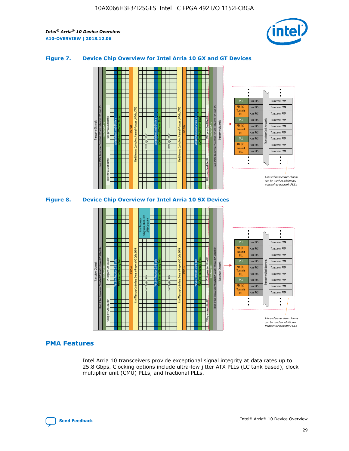

## **Figure 7. Device Chip Overview for Intel Arria 10 GX and GT Devices**





#### **PMA Features**

Intel Arria 10 transceivers provide exceptional signal integrity at data rates up to 25.8 Gbps. Clocking options include ultra-low jitter ATX PLLs (LC tank based), clock multiplier unit (CMU) PLLs, and fractional PLLs.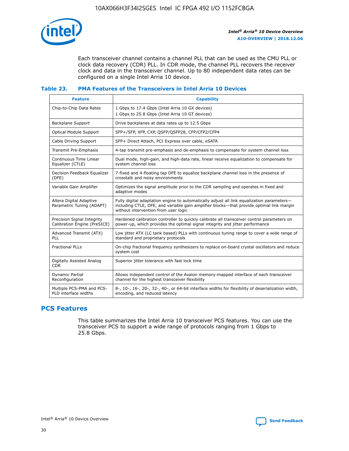

Each transceiver channel contains a channel PLL that can be used as the CMU PLL or clock data recovery (CDR) PLL. In CDR mode, the channel PLL recovers the receiver clock and data in the transceiver channel. Up to 80 independent data rates can be configured on a single Intel Arria 10 device.

## **Table 23. PMA Features of the Transceivers in Intel Arria 10 Devices**

| <b>Feature</b>                                             | <b>Capability</b>                                                                                                                                                                                                             |
|------------------------------------------------------------|-------------------------------------------------------------------------------------------------------------------------------------------------------------------------------------------------------------------------------|
| Chip-to-Chip Data Rates                                    | 1 Gbps to 17.4 Gbps (Intel Arria 10 GX devices)<br>1 Gbps to 25.8 Gbps (Intel Arria 10 GT devices)                                                                                                                            |
| Backplane Support                                          | Drive backplanes at data rates up to 12.5 Gbps                                                                                                                                                                                |
| <b>Optical Module Support</b>                              | SFP+/SFP, XFP, CXP, QSFP/QSFP28, CFP/CFP2/CFP4                                                                                                                                                                                |
| Cable Driving Support                                      | SFP+ Direct Attach, PCI Express over cable, eSATA                                                                                                                                                                             |
| Transmit Pre-Emphasis                                      | 4-tap transmit pre-emphasis and de-emphasis to compensate for system channel loss                                                                                                                                             |
| Continuous Time Linear<br>Equalizer (CTLE)                 | Dual mode, high-gain, and high-data rate, linear receive equalization to compensate for<br>system channel loss                                                                                                                |
| Decision Feedback Equalizer<br>(DFE)                       | 7-fixed and 4-floating tap DFE to equalize backplane channel loss in the presence of<br>crosstalk and noisy environments                                                                                                      |
| Variable Gain Amplifier                                    | Optimizes the signal amplitude prior to the CDR sampling and operates in fixed and<br>adaptive modes                                                                                                                          |
| Altera Digital Adaptive<br>Parametric Tuning (ADAPT)       | Fully digital adaptation engine to automatically adjust all link equalization parameters-<br>including CTLE, DFE, and variable gain amplifier blocks—that provide optimal link margin<br>without intervention from user logic |
| Precision Signal Integrity<br>Calibration Engine (PreSICE) | Hardened calibration controller to quickly calibrate all transceiver control parameters on<br>power-up, which provides the optimal signal integrity and jitter performance                                                    |
| Advanced Transmit (ATX)<br><b>PLL</b>                      | Low jitter ATX (LC tank based) PLLs with continuous tuning range to cover a wide range of<br>standard and proprietary protocols                                                                                               |
| <b>Fractional PLLs</b>                                     | On-chip fractional frequency synthesizers to replace on-board crystal oscillators and reduce<br>system cost                                                                                                                   |
| Digitally Assisted Analog<br><b>CDR</b>                    | Superior jitter tolerance with fast lock time                                                                                                                                                                                 |
| Dynamic Partial<br>Reconfiguration                         | Allows independent control of the Avalon memory-mapped interface of each transceiver<br>channel for the highest transceiver flexibility                                                                                       |
| Multiple PCS-PMA and PCS-<br>PLD interface widths          | 8-, 10-, 16-, 20-, 32-, 40-, or 64-bit interface widths for flexibility of deserialization width,<br>encoding, and reduced latency                                                                                            |

## **PCS Features**

This table summarizes the Intel Arria 10 transceiver PCS features. You can use the transceiver PCS to support a wide range of protocols ranging from 1 Gbps to 25.8 Gbps.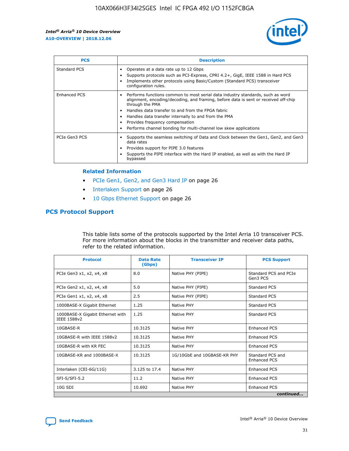

| <b>PCS</b>    | <b>Description</b>                                                                                                                                                                                                                                                                                                                                                                                             |
|---------------|----------------------------------------------------------------------------------------------------------------------------------------------------------------------------------------------------------------------------------------------------------------------------------------------------------------------------------------------------------------------------------------------------------------|
| Standard PCS  | Operates at a data rate up to 12 Gbps<br>Supports protocols such as PCI-Express, CPRI 4.2+, GigE, IEEE 1588 in Hard PCS<br>Implements other protocols using Basic/Custom (Standard PCS) transceiver<br>configuration rules.                                                                                                                                                                                    |
| Enhanced PCS  | Performs functions common to most serial data industry standards, such as word<br>alignment, encoding/decoding, and framing, before data is sent or received off-chip<br>through the PMA<br>• Handles data transfer to and from the FPGA fabric<br>Handles data transfer internally to and from the PMA<br>Provides frequency compensation<br>Performs channel bonding for multi-channel low skew applications |
| PCIe Gen3 PCS | Supports the seamless switching of Data and Clock between the Gen1, Gen2, and Gen3<br>data rates<br>Provides support for PIPE 3.0 features<br>Supports the PIPE interface with the Hard IP enabled, as well as with the Hard IP<br>bypassed                                                                                                                                                                    |

#### **Related Information**

- PCIe Gen1, Gen2, and Gen3 Hard IP on page 26
- Interlaken Support on page 26
- 10 Gbps Ethernet Support on page 26

## **PCS Protocol Support**

This table lists some of the protocols supported by the Intel Arria 10 transceiver PCS. For more information about the blocks in the transmitter and receiver data paths, refer to the related information.

| <b>Protocol</b>                                 | <b>Data Rate</b><br>(Gbps) | <b>Transceiver IP</b>       | <b>PCS Support</b>                      |
|-------------------------------------------------|----------------------------|-----------------------------|-----------------------------------------|
| PCIe Gen3 x1, x2, x4, x8                        | 8.0                        | Native PHY (PIPE)           | Standard PCS and PCIe<br>Gen3 PCS       |
| PCIe Gen2 x1, x2, x4, x8                        | 5.0                        | Native PHY (PIPE)           | <b>Standard PCS</b>                     |
| PCIe Gen1 x1, x2, x4, x8                        | 2.5                        | Native PHY (PIPE)           | Standard PCS                            |
| 1000BASE-X Gigabit Ethernet                     | 1.25                       | Native PHY                  | <b>Standard PCS</b>                     |
| 1000BASE-X Gigabit Ethernet with<br>IEEE 1588v2 | 1.25                       | Native PHY                  | Standard PCS                            |
| 10GBASE-R                                       | 10.3125                    | Native PHY                  | <b>Enhanced PCS</b>                     |
| 10GBASE-R with IEEE 1588v2                      | 10.3125                    | Native PHY                  | <b>Enhanced PCS</b>                     |
| 10GBASE-R with KR FEC                           | 10.3125                    | Native PHY                  | <b>Enhanced PCS</b>                     |
| 10GBASE-KR and 1000BASE-X                       | 10.3125                    | 1G/10GbE and 10GBASE-KR PHY | Standard PCS and<br><b>Enhanced PCS</b> |
| Interlaken (CEI-6G/11G)                         | 3.125 to 17.4              | Native PHY                  | <b>Enhanced PCS</b>                     |
| SFI-S/SFI-5.2                                   | 11.2                       | Native PHY                  | <b>Enhanced PCS</b>                     |
| 10G SDI                                         | 10.692                     | Native PHY                  | <b>Enhanced PCS</b>                     |
|                                                 |                            |                             | continued                               |



**[Send Feedback](mailto:FPGAtechdocfeedback@intel.com?subject=Feedback%20on%20Intel%20Arria%2010%20Device%20Overview%20(A10-OVERVIEW%202018.12.06)&body=We%20appreciate%20your%20feedback.%20In%20your%20comments,%20also%20specify%20the%20page%20number%20or%20paragraph.%20Thank%20you.) Intel®** Arria<sup>®</sup> 10 Device Overview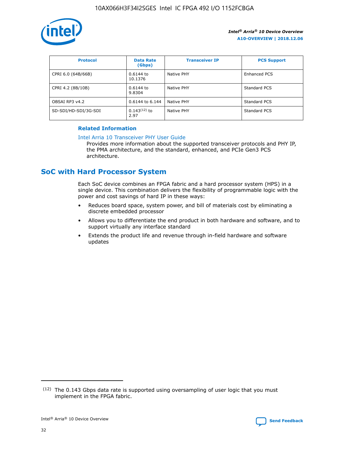

| <b>Protocol</b>      | <b>Data Rate</b><br>(Gbps) | <b>Transceiver IP</b> | <b>PCS Support</b> |
|----------------------|----------------------------|-----------------------|--------------------|
| CPRI 6.0 (64B/66B)   | 0.6144 to<br>10.1376       | Native PHY            | Enhanced PCS       |
| CPRI 4.2 (8B/10B)    | 0.6144 to<br>9.8304        | Native PHY            | Standard PCS       |
| OBSAI RP3 v4.2       | 0.6144 to 6.144            | Native PHY            | Standard PCS       |
| SD-SDI/HD-SDI/3G-SDI | $0.143(12)$ to<br>2.97     | Native PHY            | Standard PCS       |

## **Related Information**

#### [Intel Arria 10 Transceiver PHY User Guide](https://www.intel.com/content/www/us/en/programmable/documentation/nik1398707230472.html#nik1398707091164)

Provides more information about the supported transceiver protocols and PHY IP, the PMA architecture, and the standard, enhanced, and PCIe Gen3 PCS architecture.

## **SoC with Hard Processor System**

Each SoC device combines an FPGA fabric and a hard processor system (HPS) in a single device. This combination delivers the flexibility of programmable logic with the power and cost savings of hard IP in these ways:

- Reduces board space, system power, and bill of materials cost by eliminating a discrete embedded processor
- Allows you to differentiate the end product in both hardware and software, and to support virtually any interface standard
- Extends the product life and revenue through in-field hardware and software updates

 $(12)$  The 0.143 Gbps data rate is supported using oversampling of user logic that you must implement in the FPGA fabric.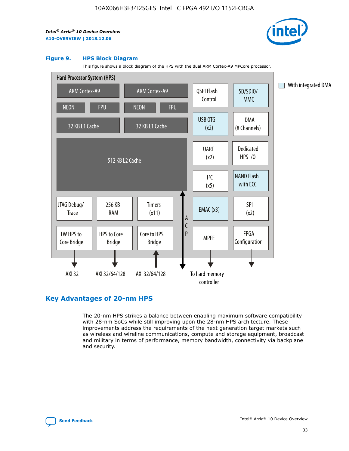

#### **Figure 9. HPS Block Diagram**

This figure shows a block diagram of the HPS with the dual ARM Cortex-A9 MPCore processor.



## **Key Advantages of 20-nm HPS**

The 20-nm HPS strikes a balance between enabling maximum software compatibility with 28-nm SoCs while still improving upon the 28-nm HPS architecture. These improvements address the requirements of the next generation target markets such as wireless and wireline communications, compute and storage equipment, broadcast and military in terms of performance, memory bandwidth, connectivity via backplane and security.

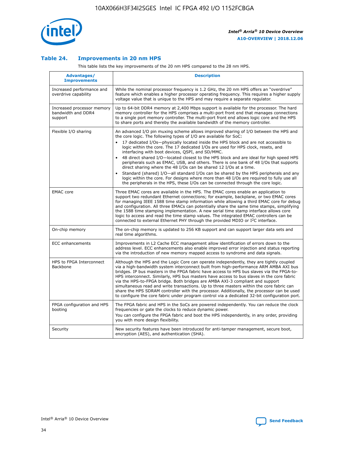

## **Table 24. Improvements in 20 nm HPS**

This table lists the key improvements of the 20 nm HPS compared to the 28 nm HPS.

| <b>Advantages/</b><br><b>Improvements</b>                   | <b>Description</b>                                                                                                                                                                                                                                                                                                                                                                                                                                                                                                                                                                                                                                                                                                                                                                                                                                                                                                      |
|-------------------------------------------------------------|-------------------------------------------------------------------------------------------------------------------------------------------------------------------------------------------------------------------------------------------------------------------------------------------------------------------------------------------------------------------------------------------------------------------------------------------------------------------------------------------------------------------------------------------------------------------------------------------------------------------------------------------------------------------------------------------------------------------------------------------------------------------------------------------------------------------------------------------------------------------------------------------------------------------------|
| Increased performance and<br>overdrive capability           | While the nominal processor frequency is 1.2 GHz, the 20 nm HPS offers an "overdrive"<br>feature which enables a higher processor operating frequency. This requires a higher supply<br>voltage value that is unique to the HPS and may require a separate regulator.                                                                                                                                                                                                                                                                                                                                                                                                                                                                                                                                                                                                                                                   |
| Increased processor memory<br>bandwidth and DDR4<br>support | Up to 64-bit DDR4 memory at 2,400 Mbps support is available for the processor. The hard<br>memory controller for the HPS comprises a multi-port front end that manages connections<br>to a single port memory controller. The multi-port front end allows logic core and the HPS<br>to share ports and thereby the available bandwidth of the memory controller.                                                                                                                                                                                                                                                                                                                                                                                                                                                                                                                                                        |
| Flexible I/O sharing                                        | An advanced I/O pin muxing scheme allows improved sharing of I/O between the HPS and<br>the core logic. The following types of I/O are available for SoC:<br>17 dedicated I/Os-physically located inside the HPS block and are not accessible to<br>logic within the core. The 17 dedicated I/Os are used for HPS clock, resets, and<br>interfacing with boot devices, QSPI, and SD/MMC.<br>48 direct shared I/O-located closest to the HPS block and are ideal for high speed HPS<br>peripherals such as EMAC, USB, and others. There is one bank of 48 I/Os that supports<br>direct sharing where the 48 I/Os can be shared 12 I/Os at a time.<br>Standard (shared) I/O-all standard I/Os can be shared by the HPS peripherals and any<br>logic within the core. For designs where more than 48 I/Os are required to fully use all<br>the peripherals in the HPS, these I/Os can be connected through the core logic. |
| <b>EMAC</b> core                                            | Three EMAC cores are available in the HPS. The EMAC cores enable an application to<br>support two redundant Ethernet connections; for example, backplane, or two EMAC cores<br>for managing IEEE 1588 time stamp information while allowing a third EMAC core for debug<br>and configuration. All three EMACs can potentially share the same time stamps, simplifying<br>the 1588 time stamping implementation. A new serial time stamp interface allows core<br>logic to access and read the time stamp values. The integrated EMAC controllers can be<br>connected to external Ethernet PHY through the provided MDIO or I <sup>2</sup> C interface.                                                                                                                                                                                                                                                                  |
| On-chip memory                                              | The on-chip memory is updated to 256 KB support and can support larger data sets and<br>real time algorithms.                                                                                                                                                                                                                                                                                                                                                                                                                                                                                                                                                                                                                                                                                                                                                                                                           |
| <b>ECC</b> enhancements                                     | Improvements in L2 Cache ECC management allow identification of errors down to the<br>address level. ECC enhancements also enable improved error injection and status reporting<br>via the introduction of new memory mapped access to syndrome and data signals.                                                                                                                                                                                                                                                                                                                                                                                                                                                                                                                                                                                                                                                       |
| HPS to FPGA Interconnect<br><b>Backbone</b>                 | Although the HPS and the Logic Core can operate independently, they are tightly coupled<br>via a high-bandwidth system interconnect built from high-performance ARM AMBA AXI bus<br>bridges. IP bus masters in the FPGA fabric have access to HPS bus slaves via the FPGA-to-<br>HPS interconnect. Similarly, HPS bus masters have access to bus slaves in the core fabric<br>via the HPS-to-FPGA bridge. Both bridges are AMBA AXI-3 compliant and support<br>simultaneous read and write transactions. Up to three masters within the core fabric can<br>share the HPS SDRAM controller with the processor. Additionally, the processor can be used<br>to configure the core fabric under program control via a dedicated 32-bit configuration port.                                                                                                                                                                  |
| FPGA configuration and HPS<br>booting                       | The FPGA fabric and HPS in the SoCs are powered independently. You can reduce the clock<br>frequencies or gate the clocks to reduce dynamic power.<br>You can configure the FPGA fabric and boot the HPS independently, in any order, providing<br>you with more design flexibility.                                                                                                                                                                                                                                                                                                                                                                                                                                                                                                                                                                                                                                    |
| Security                                                    | New security features have been introduced for anti-tamper management, secure boot,<br>encryption (AES), and authentication (SHA).                                                                                                                                                                                                                                                                                                                                                                                                                                                                                                                                                                                                                                                                                                                                                                                      |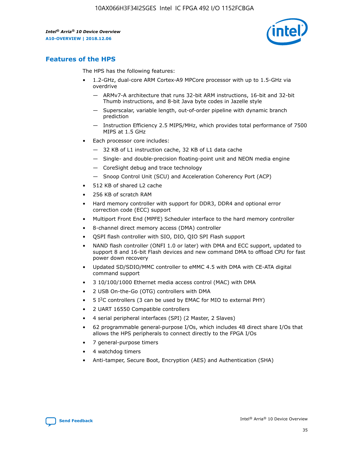

## **Features of the HPS**

The HPS has the following features:

- 1.2-GHz, dual-core ARM Cortex-A9 MPCore processor with up to 1.5-GHz via overdrive
	- ARMv7-A architecture that runs 32-bit ARM instructions, 16-bit and 32-bit Thumb instructions, and 8-bit Java byte codes in Jazelle style
	- Superscalar, variable length, out-of-order pipeline with dynamic branch prediction
	- Instruction Efficiency 2.5 MIPS/MHz, which provides total performance of 7500 MIPS at 1.5 GHz
- Each processor core includes:
	- 32 KB of L1 instruction cache, 32 KB of L1 data cache
	- Single- and double-precision floating-point unit and NEON media engine
	- CoreSight debug and trace technology
	- Snoop Control Unit (SCU) and Acceleration Coherency Port (ACP)
- 512 KB of shared L2 cache
- 256 KB of scratch RAM
- Hard memory controller with support for DDR3, DDR4 and optional error correction code (ECC) support
- Multiport Front End (MPFE) Scheduler interface to the hard memory controller
- 8-channel direct memory access (DMA) controller
- QSPI flash controller with SIO, DIO, QIO SPI Flash support
- NAND flash controller (ONFI 1.0 or later) with DMA and ECC support, updated to support 8 and 16-bit Flash devices and new command DMA to offload CPU for fast power down recovery
- Updated SD/SDIO/MMC controller to eMMC 4.5 with DMA with CE-ATA digital command support
- 3 10/100/1000 Ethernet media access control (MAC) with DMA
- 2 USB On-the-Go (OTG) controllers with DMA
- $\bullet$  5 I<sup>2</sup>C controllers (3 can be used by EMAC for MIO to external PHY)
- 2 UART 16550 Compatible controllers
- 4 serial peripheral interfaces (SPI) (2 Master, 2 Slaves)
- 62 programmable general-purpose I/Os, which includes 48 direct share I/Os that allows the HPS peripherals to connect directly to the FPGA I/Os
- 7 general-purpose timers
- 4 watchdog timers
- Anti-tamper, Secure Boot, Encryption (AES) and Authentication (SHA)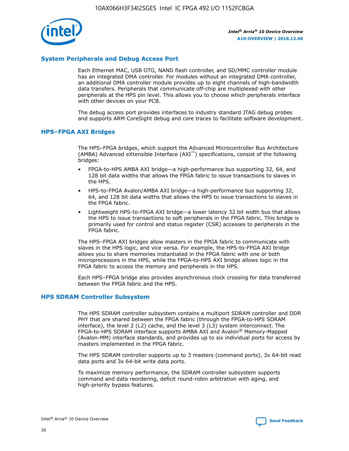

## **System Peripherals and Debug Access Port**

Each Ethernet MAC, USB OTG, NAND flash controller, and SD/MMC controller module has an integrated DMA controller. For modules without an integrated DMA controller, an additional DMA controller module provides up to eight channels of high-bandwidth data transfers. Peripherals that communicate off-chip are multiplexed with other peripherals at the HPS pin level. This allows you to choose which peripherals interface with other devices on your PCB.

The debug access port provides interfaces to industry standard JTAG debug probes and supports ARM CoreSight debug and core traces to facilitate software development.

## **HPS–FPGA AXI Bridges**

The HPS–FPGA bridges, which support the Advanced Microcontroller Bus Architecture (AMBA) Advanced eXtensible Interface (AXI™) specifications, consist of the following bridges:

- FPGA-to-HPS AMBA AXI bridge—a high-performance bus supporting 32, 64, and 128 bit data widths that allows the FPGA fabric to issue transactions to slaves in the HPS.
- HPS-to-FPGA Avalon/AMBA AXI bridge—a high-performance bus supporting 32, 64, and 128 bit data widths that allows the HPS to issue transactions to slaves in the FPGA fabric.
- Lightweight HPS-to-FPGA AXI bridge—a lower latency 32 bit width bus that allows the HPS to issue transactions to soft peripherals in the FPGA fabric. This bridge is primarily used for control and status register (CSR) accesses to peripherals in the FPGA fabric.

The HPS–FPGA AXI bridges allow masters in the FPGA fabric to communicate with slaves in the HPS logic, and vice versa. For example, the HPS-to-FPGA AXI bridge allows you to share memories instantiated in the FPGA fabric with one or both microprocessors in the HPS, while the FPGA-to-HPS AXI bridge allows logic in the FPGA fabric to access the memory and peripherals in the HPS.

Each HPS–FPGA bridge also provides asynchronous clock crossing for data transferred between the FPGA fabric and the HPS.

#### **HPS SDRAM Controller Subsystem**

The HPS SDRAM controller subsystem contains a multiport SDRAM controller and DDR PHY that are shared between the FPGA fabric (through the FPGA-to-HPS SDRAM interface), the level 2 (L2) cache, and the level 3 (L3) system interconnect. The FPGA-to-HPS SDRAM interface supports AMBA AXI and Avalon® Memory-Mapped (Avalon-MM) interface standards, and provides up to six individual ports for access by masters implemented in the FPGA fabric.

The HPS SDRAM controller supports up to 3 masters (command ports), 3x 64-bit read data ports and 3x 64-bit write data ports.

To maximize memory performance, the SDRAM controller subsystem supports command and data reordering, deficit round-robin arbitration with aging, and high-priority bypass features.

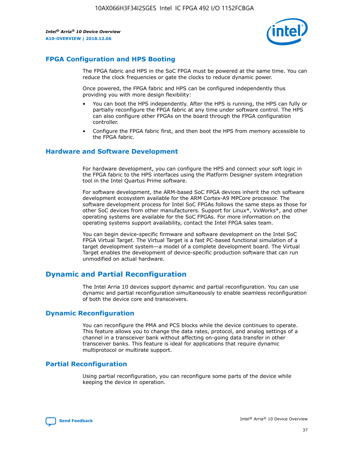

## **FPGA Configuration and HPS Booting**

The FPGA fabric and HPS in the SoC FPGA must be powered at the same time. You can reduce the clock frequencies or gate the clocks to reduce dynamic power.

Once powered, the FPGA fabric and HPS can be configured independently thus providing you with more design flexibility:

- You can boot the HPS independently. After the HPS is running, the HPS can fully or partially reconfigure the FPGA fabric at any time under software control. The HPS can also configure other FPGAs on the board through the FPGA configuration controller.
- Configure the FPGA fabric first, and then boot the HPS from memory accessible to the FPGA fabric.

## **Hardware and Software Development**

For hardware development, you can configure the HPS and connect your soft logic in the FPGA fabric to the HPS interfaces using the Platform Designer system integration tool in the Intel Quartus Prime software.

For software development, the ARM-based SoC FPGA devices inherit the rich software development ecosystem available for the ARM Cortex-A9 MPCore processor. The software development process for Intel SoC FPGAs follows the same steps as those for other SoC devices from other manufacturers. Support for Linux\*, VxWorks\*, and other operating systems are available for the SoC FPGAs. For more information on the operating systems support availability, contact the Intel FPGA sales team.

You can begin device-specific firmware and software development on the Intel SoC FPGA Virtual Target. The Virtual Target is a fast PC-based functional simulation of a target development system—a model of a complete development board. The Virtual Target enables the development of device-specific production software that can run unmodified on actual hardware.

## **Dynamic and Partial Reconfiguration**

The Intel Arria 10 devices support dynamic and partial reconfiguration. You can use dynamic and partial reconfiguration simultaneously to enable seamless reconfiguration of both the device core and transceivers.

## **Dynamic Reconfiguration**

You can reconfigure the PMA and PCS blocks while the device continues to operate. This feature allows you to change the data rates, protocol, and analog settings of a channel in a transceiver bank without affecting on-going data transfer in other transceiver banks. This feature is ideal for applications that require dynamic multiprotocol or multirate support.

## **Partial Reconfiguration**

Using partial reconfiguration, you can reconfigure some parts of the device while keeping the device in operation.

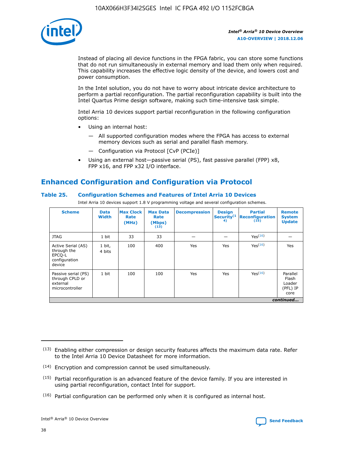

Instead of placing all device functions in the FPGA fabric, you can store some functions that do not run simultaneously in external memory and load them only when required. This capability increases the effective logic density of the device, and lowers cost and power consumption.

In the Intel solution, you do not have to worry about intricate device architecture to perform a partial reconfiguration. The partial reconfiguration capability is built into the Intel Quartus Prime design software, making such time-intensive task simple.

Intel Arria 10 devices support partial reconfiguration in the following configuration options:

- Using an internal host:
	- All supported configuration modes where the FPGA has access to external memory devices such as serial and parallel flash memory.
	- Configuration via Protocol [CvP (PCIe)]
- Using an external host—passive serial (PS), fast passive parallel (FPP) x8, FPP x16, and FPP x32 I/O interface.

# **Enhanced Configuration and Configuration via Protocol**

## **Table 25. Configuration Schemes and Features of Intel Arria 10 Devices**

Intel Arria 10 devices support 1.8 V programming voltage and several configuration schemes.

| <b>Scheme</b>                                                          | <b>Data</b><br><b>Width</b> | <b>Max Clock</b><br>Rate<br>(MHz) | <b>Max Data</b><br>Rate<br>(Mbps)<br>(13) | <b>Decompression</b> | <b>Design</b><br>Security <sup>(1</sup><br>4) | <b>Partial</b><br><b>Reconfiguration</b><br>(15) | <b>Remote</b><br><b>System</b><br><b>Update</b> |
|------------------------------------------------------------------------|-----------------------------|-----------------------------------|-------------------------------------------|----------------------|-----------------------------------------------|--------------------------------------------------|-------------------------------------------------|
| <b>JTAG</b>                                                            | 1 bit                       | 33                                | 33                                        |                      |                                               | Yes(16)                                          |                                                 |
| Active Serial (AS)<br>through the<br>EPCO-L<br>configuration<br>device | 1 bit,<br>4 bits            | 100                               | 400                                       | Yes                  | Yes                                           | $Y_{PS}(16)$                                     | Yes                                             |
| Passive serial (PS)<br>through CPLD or<br>external<br>microcontroller  | 1 bit                       | 100                               | 100                                       | Yes                  | Yes                                           | Yes(16)                                          | Parallel<br>Flash<br>Loader<br>(PFL) IP<br>core |
|                                                                        |                             |                                   |                                           |                      |                                               |                                                  | continued                                       |

<sup>(13)</sup> Enabling either compression or design security features affects the maximum data rate. Refer to the Intel Arria 10 Device Datasheet for more information.

<sup>(14)</sup> Encryption and compression cannot be used simultaneously.

 $<sup>(15)</sup>$  Partial reconfiguration is an advanced feature of the device family. If you are interested in</sup> using partial reconfiguration, contact Intel for support.

 $(16)$  Partial configuration can be performed only when it is configured as internal host.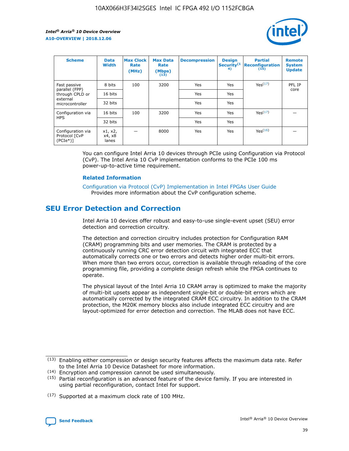

| <b>Scheme</b>                                   | <b>Data</b><br><b>Width</b> | <b>Max Clock</b><br>Rate<br>(MHz) | <b>Max Data</b><br>Rate<br>(Mbps)<br>(13) | <b>Decompression</b> | <b>Design</b><br>Security <sup>(1</sup><br>4) | <b>Partial</b><br><b>Reconfiguration</b><br>(15) | <b>Remote</b><br><b>System</b><br><b>Update</b> |
|-------------------------------------------------|-----------------------------|-----------------------------------|-------------------------------------------|----------------------|-----------------------------------------------|--------------------------------------------------|-------------------------------------------------|
| Fast passive                                    | 8 bits                      | 100                               | 3200                                      | Yes                  | Yes                                           | Yes(17)                                          | PFL IP                                          |
| parallel (FPP)<br>through CPLD or               | 16 bits                     |                                   |                                           | Yes                  | Yes                                           |                                                  | core                                            |
| external<br>microcontroller                     | 32 bits                     |                                   |                                           | Yes                  | Yes                                           |                                                  |                                                 |
| Configuration via                               | 16 bits                     | 100                               | 3200                                      | Yes                  | Yes                                           | Yes <sup>(17)</sup>                              |                                                 |
| <b>HPS</b>                                      | 32 bits                     |                                   |                                           | Yes                  | Yes                                           |                                                  |                                                 |
| Configuration via<br>Protocol [CvP<br>$(PCIe*)$ | x1, x2,<br>x4, x8<br>lanes  |                                   | 8000                                      | Yes                  | Yes                                           | Yes(16)                                          |                                                 |

You can configure Intel Arria 10 devices through PCIe using Configuration via Protocol (CvP). The Intel Arria 10 CvP implementation conforms to the PCIe 100 ms power-up-to-active time requirement.

#### **Related Information**

[Configuration via Protocol \(CvP\) Implementation in Intel FPGAs User Guide](https://www.intel.com/content/www/us/en/programmable/documentation/dsu1441819344145.html#dsu1442269728522) Provides more information about the CvP configuration scheme.

## **SEU Error Detection and Correction**

Intel Arria 10 devices offer robust and easy-to-use single-event upset (SEU) error detection and correction circuitry.

The detection and correction circuitry includes protection for Configuration RAM (CRAM) programming bits and user memories. The CRAM is protected by a continuously running CRC error detection circuit with integrated ECC that automatically corrects one or two errors and detects higher order multi-bit errors. When more than two errors occur, correction is available through reloading of the core programming file, providing a complete design refresh while the FPGA continues to operate.

The physical layout of the Intel Arria 10 CRAM array is optimized to make the majority of multi-bit upsets appear as independent single-bit or double-bit errors which are automatically corrected by the integrated CRAM ECC circuitry. In addition to the CRAM protection, the M20K memory blocks also include integrated ECC circuitry and are layout-optimized for error detection and correction. The MLAB does not have ECC.

<sup>(17)</sup> Supported at a maximum clock rate of 100 MHz.



 $(13)$  Enabling either compression or design security features affects the maximum data rate. Refer to the Intel Arria 10 Device Datasheet for more information.

<sup>(14)</sup> Encryption and compression cannot be used simultaneously.

 $(15)$  Partial reconfiguration is an advanced feature of the device family. If you are interested in using partial reconfiguration, contact Intel for support.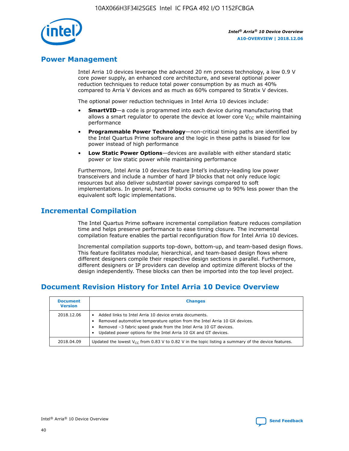

## **Power Management**

Intel Arria 10 devices leverage the advanced 20 nm process technology, a low 0.9 V core power supply, an enhanced core architecture, and several optional power reduction techniques to reduce total power consumption by as much as 40% compared to Arria V devices and as much as 60% compared to Stratix V devices.

The optional power reduction techniques in Intel Arria 10 devices include:

- **SmartVID**—a code is programmed into each device during manufacturing that allows a smart regulator to operate the device at lower core  $V_{CC}$  while maintaining performance
- **Programmable Power Technology**—non-critical timing paths are identified by the Intel Quartus Prime software and the logic in these paths is biased for low power instead of high performance
- **Low Static Power Options**—devices are available with either standard static power or low static power while maintaining performance

Furthermore, Intel Arria 10 devices feature Intel's industry-leading low power transceivers and include a number of hard IP blocks that not only reduce logic resources but also deliver substantial power savings compared to soft implementations. In general, hard IP blocks consume up to 90% less power than the equivalent soft logic implementations.

## **Incremental Compilation**

The Intel Quartus Prime software incremental compilation feature reduces compilation time and helps preserve performance to ease timing closure. The incremental compilation feature enables the partial reconfiguration flow for Intel Arria 10 devices.

Incremental compilation supports top-down, bottom-up, and team-based design flows. This feature facilitates modular, hierarchical, and team-based design flows where different designers compile their respective design sections in parallel. Furthermore, different designers or IP providers can develop and optimize different blocks of the design independently. These blocks can then be imported into the top level project.

# **Document Revision History for Intel Arria 10 Device Overview**

| <b>Document</b><br><b>Version</b> | <b>Changes</b>                                                                                                                                                                                                                                                              |
|-----------------------------------|-----------------------------------------------------------------------------------------------------------------------------------------------------------------------------------------------------------------------------------------------------------------------------|
| 2018.12.06                        | Added links to Intel Arria 10 device errata documents.<br>Removed automotive temperature option from the Intel Arria 10 GX devices.<br>Removed -3 fabric speed grade from the Intel Arria 10 GT devices.<br>Updated power options for the Intel Arria 10 GX and GT devices. |
| 2018.04.09                        | Updated the lowest $V_{CC}$ from 0.83 V to 0.82 V in the topic listing a summary of the device features.                                                                                                                                                                    |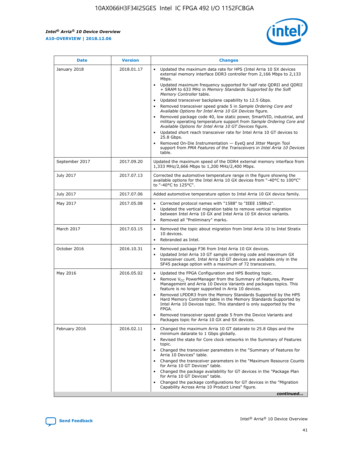

| <b>Date</b>    | <b>Version</b> | <b>Changes</b>                                                                                                                                                                                                                                                                                                                                                                                                                                                                                                                                                                                                                                                                                                                                                                                                                                                                                                                                               |
|----------------|----------------|--------------------------------------------------------------------------------------------------------------------------------------------------------------------------------------------------------------------------------------------------------------------------------------------------------------------------------------------------------------------------------------------------------------------------------------------------------------------------------------------------------------------------------------------------------------------------------------------------------------------------------------------------------------------------------------------------------------------------------------------------------------------------------------------------------------------------------------------------------------------------------------------------------------------------------------------------------------|
| January 2018   | 2018.01.17     | Updated the maximum data rate for HPS (Intel Arria 10 SX devices<br>external memory interface DDR3 controller from 2,166 Mbps to 2,133<br>Mbps.<br>Updated maximum frequency supported for half rate QDRII and QDRII<br>+ SRAM to 633 MHz in Memory Standards Supported by the Soft<br>Memory Controller table.<br>Updated transceiver backplane capability to 12.5 Gbps.<br>Removed transceiver speed grade 5 in Sample Ordering Core and<br>Available Options for Intel Arria 10 GX Devices figure.<br>Removed package code 40, low static power, SmartVID, industrial, and<br>military operating temperature support from Sample Ordering Core and<br>Available Options for Intel Arria 10 GT Devices figure.<br>Updated short reach transceiver rate for Intel Arria 10 GT devices to<br>25.8 Gbps.<br>Removed On-Die Instrumentation - EyeQ and Jitter Margin Tool<br>support from PMA Features of the Transceivers in Intel Arria 10 Devices<br>table. |
| September 2017 | 2017.09.20     | Updated the maximum speed of the DDR4 external memory interface from<br>1,333 MHz/2,666 Mbps to 1,200 MHz/2,400 Mbps.                                                                                                                                                                                                                                                                                                                                                                                                                                                                                                                                                                                                                                                                                                                                                                                                                                        |
| July 2017      | 2017.07.13     | Corrected the automotive temperature range in the figure showing the<br>available options for the Intel Arria 10 GX devices from "-40°C to 100°C"<br>to "-40°C to 125°C".                                                                                                                                                                                                                                                                                                                                                                                                                                                                                                                                                                                                                                                                                                                                                                                    |
| July 2017      | 2017.07.06     | Added automotive temperature option to Intel Arria 10 GX device family.                                                                                                                                                                                                                                                                                                                                                                                                                                                                                                                                                                                                                                                                                                                                                                                                                                                                                      |
| May 2017       | 2017.05.08     | Corrected protocol names with "1588" to "IEEE 1588v2".<br>Updated the vertical migration table to remove vertical migration<br>$\bullet$<br>between Intel Arria 10 GX and Intel Arria 10 SX device variants.<br>Removed all "Preliminary" marks.                                                                                                                                                                                                                                                                                                                                                                                                                                                                                                                                                                                                                                                                                                             |
| March 2017     | 2017.03.15     | Removed the topic about migration from Intel Arria 10 to Intel Stratix<br>10 devices.<br>Rebranded as Intel.<br>$\bullet$                                                                                                                                                                                                                                                                                                                                                                                                                                                                                                                                                                                                                                                                                                                                                                                                                                    |
| October 2016   | 2016.10.31     | Removed package F36 from Intel Arria 10 GX devices.<br>Updated Intel Arria 10 GT sample ordering code and maximum GX<br>$\bullet$<br>transceiver count. Intel Arria 10 GT devices are available only in the<br>SF45 package option with a maximum of 72 transceivers.                                                                                                                                                                                                                                                                                                                                                                                                                                                                                                                                                                                                                                                                                        |
| May 2016       | 2016.05.02     | Updated the FPGA Configuration and HPS Booting topic.<br>$\bullet$<br>Remove V <sub>CC</sub> PowerManager from the Summary of Features, Power<br>Management and Arria 10 Device Variants and packages topics. This<br>feature is no longer supported in Arria 10 devices.<br>Removed LPDDR3 from the Memory Standards Supported by the HPS<br>Hard Memory Controller table in the Memory Standards Supported by<br>Intel Arria 10 Devices topic. This standard is only supported by the<br>FPGA.<br>Removed transceiver speed grade 5 from the Device Variants and<br>Packages topic for Arria 10 GX and SX devices.                                                                                                                                                                                                                                                                                                                                         |
| February 2016  | 2016.02.11     | Changed the maximum Arria 10 GT datarate to 25.8 Gbps and the<br>minimum datarate to 1 Gbps globally.<br>Revised the state for Core clock networks in the Summary of Features<br>topic.<br>Changed the transceiver parameters in the "Summary of Features for<br>Arria 10 Devices" table.<br>Changed the transceiver parameters in the "Maximum Resource Counts"<br>for Arria 10 GT Devices" table.<br>Changed the package availability for GT devices in the "Package Plan<br>for Arria 10 GT Devices" table.<br>Changed the package configurations for GT devices in the "Migration"<br>Capability Across Arria 10 Product Lines" figure.<br>continued                                                                                                                                                                                                                                                                                                     |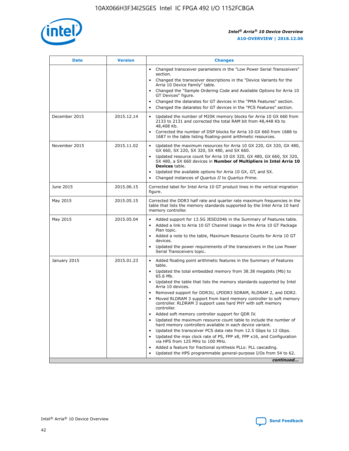

| <b>Date</b>   | <b>Version</b> | <b>Changes</b>                                                                                                                                                               |
|---------------|----------------|------------------------------------------------------------------------------------------------------------------------------------------------------------------------------|
|               |                | • Changed transceiver parameters in the "Low Power Serial Transceivers"<br>section.                                                                                          |
|               |                | • Changed the transceiver descriptions in the "Device Variants for the<br>Arria 10 Device Family" table.                                                                     |
|               |                | Changed the "Sample Ordering Code and Available Options for Arria 10<br>$\bullet$<br>GT Devices" figure.                                                                     |
|               |                | Changed the datarates for GT devices in the "PMA Features" section.                                                                                                          |
|               |                | Changed the datarates for GT devices in the "PCS Features" section.<br>$\bullet$                                                                                             |
| December 2015 | 2015.12.14     | Updated the number of M20K memory blocks for Arria 10 GX 660 from<br>2133 to 2131 and corrected the total RAM bit from 48,448 Kb to<br>48,408 Kb.                            |
|               |                | Corrected the number of DSP blocks for Arria 10 GX 660 from 1688 to<br>1687 in the table listing floating-point arithmetic resources.                                        |
| November 2015 | 2015.11.02     | Updated the maximum resources for Arria 10 GX 220, GX 320, GX 480,<br>$\bullet$<br>GX 660, SX 220, SX 320, SX 480, and SX 660.                                               |
|               |                | • Updated resource count for Arria 10 GX 320, GX 480, GX 660, SX 320,<br>SX 480, a SX 660 devices in Number of Multipliers in Intel Arria 10<br><b>Devices</b> table.        |
|               |                | Updated the available options for Arria 10 GX, GT, and SX.                                                                                                                   |
|               |                | Changed instances of Quartus II to Quartus Prime.<br>$\bullet$                                                                                                               |
| June 2015     | 2015.06.15     | Corrected label for Intel Arria 10 GT product lines in the vertical migration<br>figure.                                                                                     |
| May 2015      | 2015.05.15     | Corrected the DDR3 half rate and quarter rate maximum frequencies in the<br>table that lists the memory standards supported by the Intel Arria 10 hard<br>memory controller. |
| May 2015      | 2015.05.04     | • Added support for 13.5G JESD204b in the Summary of Features table.                                                                                                         |
|               |                | • Added a link to Arria 10 GT Channel Usage in the Arria 10 GT Package<br>Plan topic.                                                                                        |
|               |                | • Added a note to the table, Maximum Resource Counts for Arria 10 GT<br>devices.                                                                                             |
|               |                | • Updated the power requirements of the transceivers in the Low Power<br>Serial Transceivers topic.                                                                          |
| January 2015  | 2015.01.23     | • Added floating point arithmetic features in the Summary of Features<br>table.                                                                                              |
|               |                | • Updated the total embedded memory from 38.38 megabits (Mb) to<br>65.6 Mb.                                                                                                  |
|               |                | • Updated the table that lists the memory standards supported by Intel<br>Arria 10 devices.                                                                                  |
|               |                | Removed support for DDR3U, LPDDR3 SDRAM, RLDRAM 2, and DDR2.                                                                                                                 |
|               |                | Moved RLDRAM 3 support from hard memory controller to soft memory<br>controller. RLDRAM 3 support uses hard PHY with soft memory<br>controller.                              |
|               |                | Added soft memory controller support for QDR IV.<br>٠                                                                                                                        |
|               |                | Updated the maximum resource count table to include the number of<br>hard memory controllers available in each device variant.                                               |
|               |                | Updated the transceiver PCS data rate from 12.5 Gbps to 12 Gbps.<br>$\bullet$                                                                                                |
|               |                | Updated the max clock rate of PS, FPP x8, FPP x16, and Configuration<br>via HPS from 125 MHz to 100 MHz.                                                                     |
|               |                | Added a feature for fractional synthesis PLLs: PLL cascading.                                                                                                                |
|               |                | Updated the HPS programmable general-purpose I/Os from 54 to 62.<br>$\bullet$                                                                                                |
|               |                | continued                                                                                                                                                                    |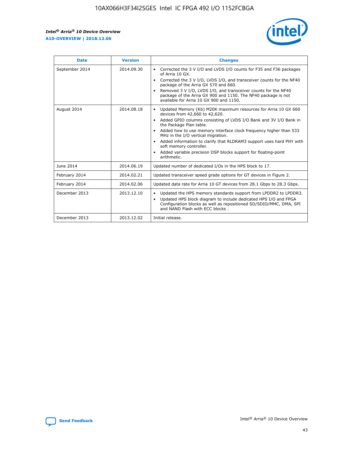r



| <b>Date</b>    | <b>Version</b> | <b>Changes</b>                                                                                                                                                                                                                                                                                                                                                                                                                                                                                                                                      |
|----------------|----------------|-----------------------------------------------------------------------------------------------------------------------------------------------------------------------------------------------------------------------------------------------------------------------------------------------------------------------------------------------------------------------------------------------------------------------------------------------------------------------------------------------------------------------------------------------------|
| September 2014 | 2014.09.30     | Corrected the 3 V I/O and LVDS I/O counts for F35 and F36 packages<br>$\bullet$<br>of Arria 10 GX.<br>Corrected the 3 V I/O, LVDS I/O, and transceiver counts for the NF40<br>$\bullet$<br>package of the Arria GX 570 and 660.<br>Removed 3 V I/O, LVDS I/O, and transceiver counts for the NF40<br>package of the Arria GX 900 and 1150. The NF40 package is not<br>available for Arria 10 GX 900 and 1150.                                                                                                                                       |
| August 2014    | 2014.08.18     | Updated Memory (Kb) M20K maximum resources for Arria 10 GX 660<br>devices from 42,660 to 42,620.<br>Added GPIO columns consisting of LVDS I/O Bank and 3V I/O Bank in<br>$\bullet$<br>the Package Plan table.<br>Added how to use memory interface clock frequency higher than 533<br>$\bullet$<br>MHz in the I/O vertical migration.<br>Added information to clarify that RLDRAM3 support uses hard PHY with<br>$\bullet$<br>soft memory controller.<br>Added variable precision DSP blocks support for floating-point<br>$\bullet$<br>arithmetic. |
| June 2014      | 2014.06.19     | Updated number of dedicated I/Os in the HPS block to 17.                                                                                                                                                                                                                                                                                                                                                                                                                                                                                            |
| February 2014  | 2014.02.21     | Updated transceiver speed grade options for GT devices in Figure 2.                                                                                                                                                                                                                                                                                                                                                                                                                                                                                 |
| February 2014  | 2014.02.06     | Updated data rate for Arria 10 GT devices from 28.1 Gbps to 28.3 Gbps.                                                                                                                                                                                                                                                                                                                                                                                                                                                                              |
| December 2013  | 2013.12.10     | Updated the HPS memory standards support from LPDDR2 to LPDDR3.<br>Updated HPS block diagram to include dedicated HPS I/O and FPGA<br>$\bullet$<br>Configuration blocks as well as repositioned SD/SDIO/MMC, DMA, SPI<br>and NAND Flash with ECC blocks.                                                                                                                                                                                                                                                                                            |
| December 2013  | 2013.12.02     | Initial release.                                                                                                                                                                                                                                                                                                                                                                                                                                                                                                                                    |